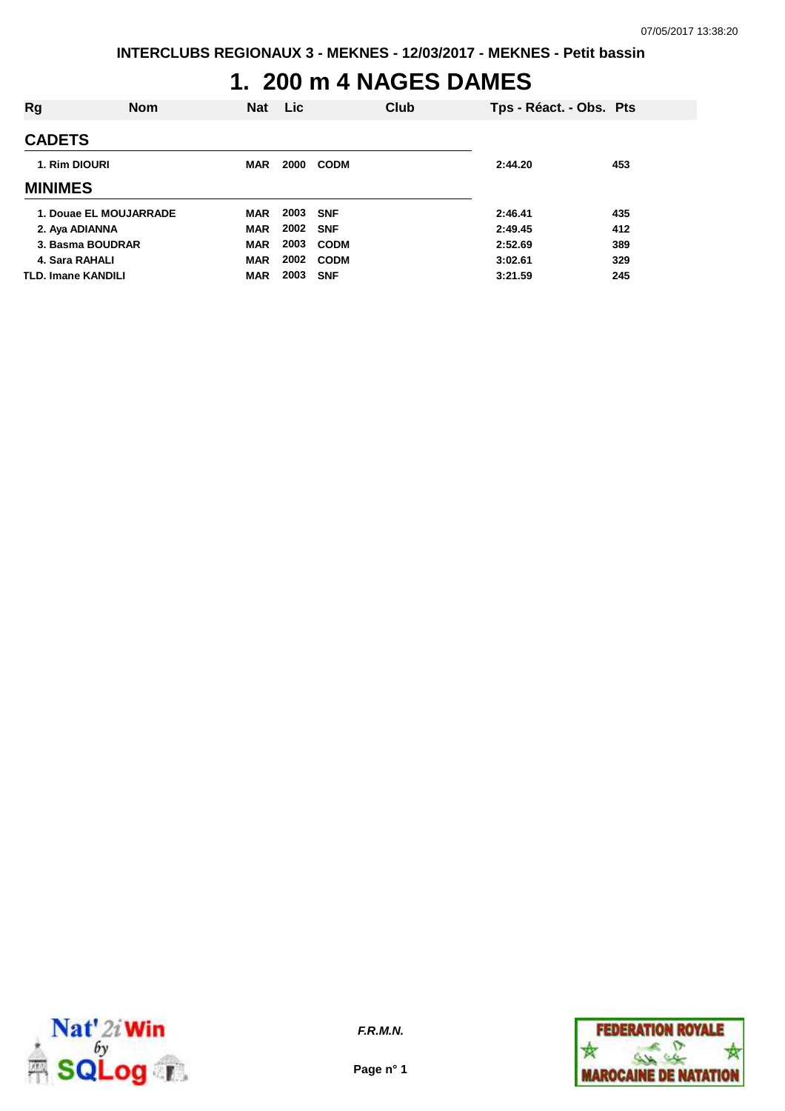# **1. 200 m 4 NAGES DAMES**

| Rg                        | <b>Nom</b> | <b>Nat</b> | <b>Lic</b> |             | Club | Tps - Réact. - Obs. Pts |     |
|---------------------------|------------|------------|------------|-------------|------|-------------------------|-----|
| <b>CADETS</b>             |            |            |            |             |      |                         |     |
| 1. Rim DIOURI             |            | <b>MAR</b> | 2000       | <b>CODM</b> |      | 2:44.20                 | 453 |
| <b>MINIMES</b>            |            |            |            |             |      |                         |     |
| 1. Douae EL MOUJARRADE    |            | <b>MAR</b> | 2003 SNF   |             |      | 2:46.41                 | 435 |
| 2. Aya ADIANNA            |            | <b>MAR</b> | 2002 SNF   |             |      | 2:49.45                 | 412 |
| 3. Basma BOUDRAR          |            | <b>MAR</b> | 2003       | <b>CODM</b> |      | 2:52.69                 | 389 |
| 4. Sara RAHALI            |            | <b>MAR</b> | 2002       | <b>CODM</b> |      | 3:02.61                 | 329 |
| <b>TLD. Imane KANDILI</b> |            | <b>MAR</b> | 2003       | <b>SNF</b>  |      | 3:21.59                 | 245 |



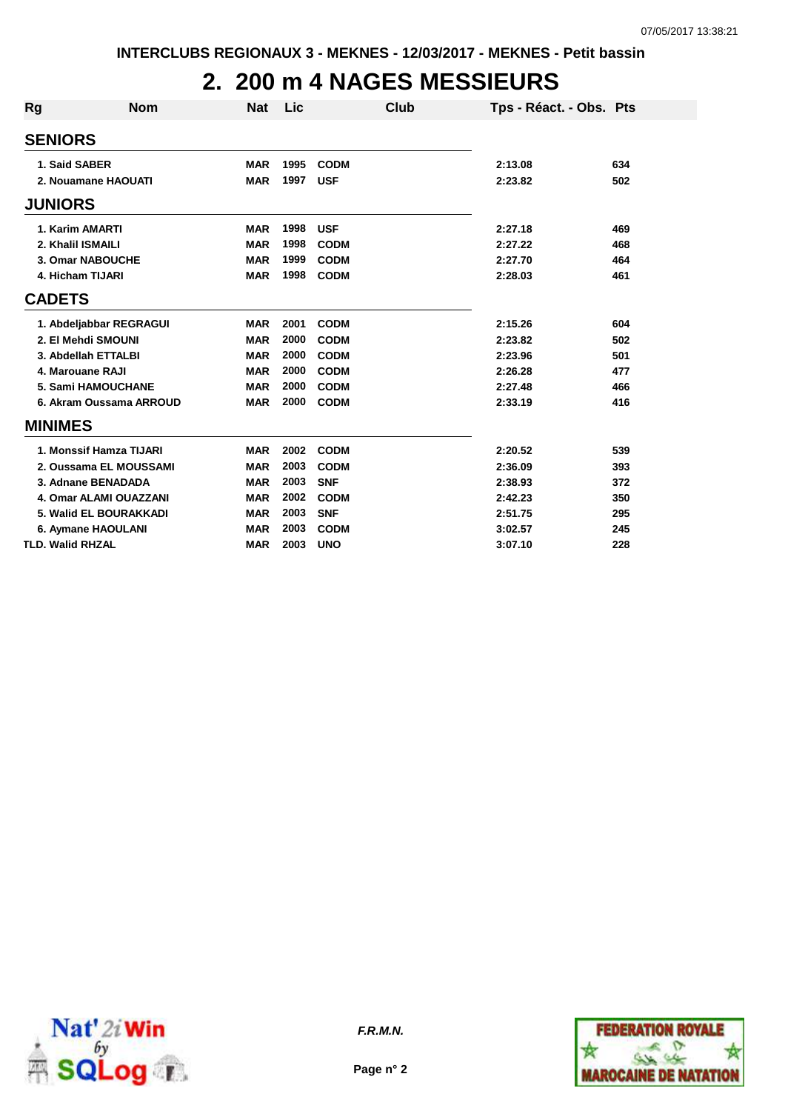## **2. 200 m 4 NAGES MESSIEURS**

| Rg             | <b>Nom</b>              | <b>Nat</b> | Lic  | Club        | Tps - Réact. - Obs. Pts |     |
|----------------|-------------------------|------------|------|-------------|-------------------------|-----|
| <b>SENIORS</b> |                         |            |      |             |                         |     |
|                | 1. Said SABER           | <b>MAR</b> | 1995 | <b>CODM</b> | 2:13.08                 | 634 |
|                | 2. Nouamane HAOUATI     | <b>MAR</b> | 1997 | <b>USF</b>  | 2:23.82                 | 502 |
| <b>JUNIORS</b> |                         |            |      |             |                         |     |
|                | 1. Karim AMARTI         | <b>MAR</b> | 1998 | <b>USF</b>  | 2:27.18                 | 469 |
|                | 2. Khalil ISMAILI       | <b>MAR</b> | 1998 | <b>CODM</b> | 2:27.22                 | 468 |
|                | 3. Omar NABOUCHE        | <b>MAR</b> | 1999 | <b>CODM</b> | 2:27.70                 | 464 |
|                | 4. Hicham TIJARI        | <b>MAR</b> | 1998 | <b>CODM</b> | 2:28.03                 | 461 |
| <b>CADETS</b>  |                         |            |      |             |                         |     |
|                | 1. Abdeljabbar REGRAGUI | <b>MAR</b> | 2001 | <b>CODM</b> | 2:15.26                 | 604 |
|                | 2. El Mehdi SMOUNI      | <b>MAR</b> | 2000 | <b>CODM</b> | 2:23.82                 | 502 |
|                | 3. Abdellah ETTALBI     | <b>MAR</b> | 2000 | <b>CODM</b> | 2:23.96                 | 501 |
|                | 4. Marouane RAJI        | <b>MAR</b> | 2000 | <b>CODM</b> | 2:26.28                 | 477 |
|                | 5. Sami HAMOUCHANE      | <b>MAR</b> | 2000 | <b>CODM</b> | 2:27.48                 | 466 |
|                | 6. Akram Oussama ARROUD | <b>MAR</b> | 2000 | <b>CODM</b> | 2:33.19                 | 416 |
| <b>MINIMES</b> |                         |            |      |             |                         |     |
|                | 1. Monssif Hamza TIJARI | <b>MAR</b> | 2002 | <b>CODM</b> | 2:20.52                 | 539 |
|                | 2. Oussama EL MOUSSAMI  | <b>MAR</b> | 2003 | <b>CODM</b> | 2:36.09                 | 393 |
|                | 3. Adnane BENADADA      | <b>MAR</b> | 2003 | <b>SNF</b>  | 2:38.93                 | 372 |
|                | 4. Omar ALAMI OUAZZANI  | <b>MAR</b> | 2002 | <b>CODM</b> | 2:42.23                 | 350 |
|                | 5. Walid EL BOURAKKADI  | <b>MAR</b> | 2003 | <b>SNF</b>  | 2:51.75                 | 295 |
|                | 6. Aymane HAOULANI      | <b>MAR</b> | 2003 | <b>CODM</b> | 3:02.57                 | 245 |
|                | <b>TLD. Walid RHZAL</b> | <b>MAR</b> | 2003 | <b>UNO</b>  | 3:07.10                 | 228 |



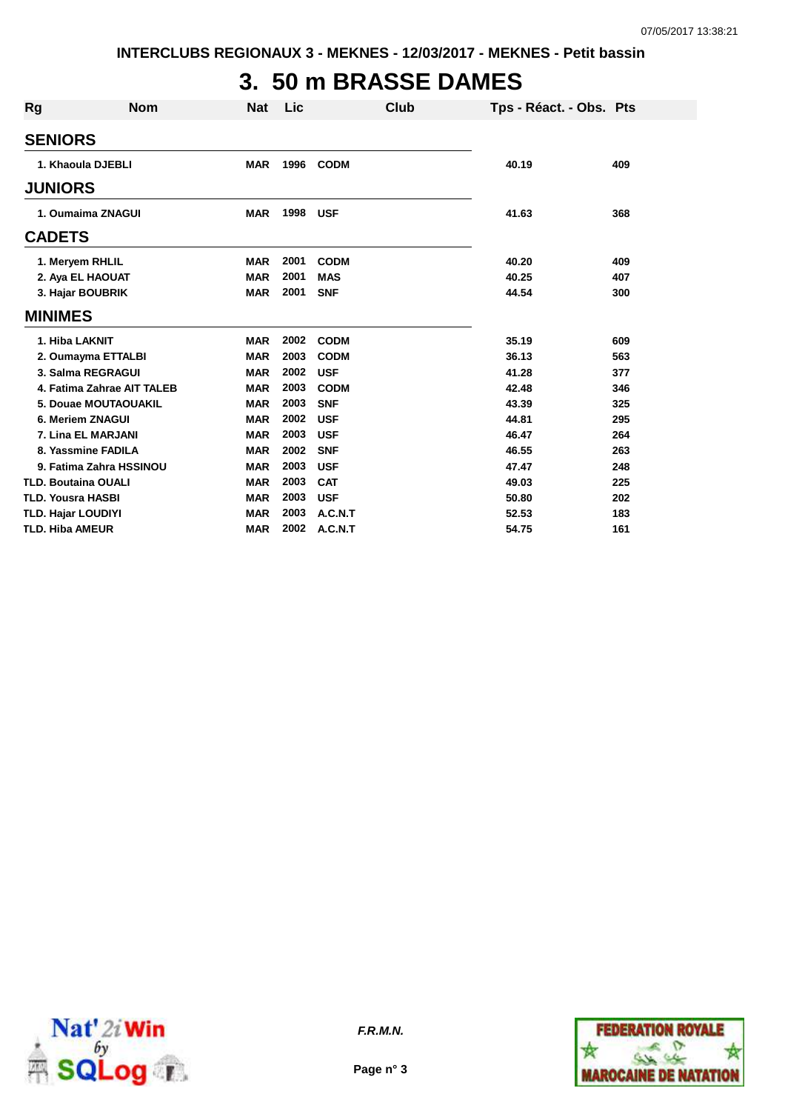# **3. 50 m BRASSE DAMES**

| <b>Rg</b>                 | <b>Nom</b>                 | <b>Nat</b> | Lic  | Club        | Tps - Réact. - Obs. Pts |     |
|---------------------------|----------------------------|------------|------|-------------|-------------------------|-----|
| <b>SENIORS</b>            |                            |            |      |             |                         |     |
|                           | 1. Khaoula DJEBLI          | <b>MAR</b> | 1996 | <b>CODM</b> | 40.19                   | 409 |
| <b>JUNIORS</b>            |                            |            |      |             |                         |     |
|                           | 1. Oumaima ZNAGUI          | <b>MAR</b> | 1998 | <b>USF</b>  | 41.63                   | 368 |
| <b>CADETS</b>             |                            |            |      |             |                         |     |
|                           | 1. Meryem RHLIL            | <b>MAR</b> | 2001 | <b>CODM</b> | 40.20                   | 409 |
|                           | 2. Aya EL HAOUAT           | <b>MAR</b> | 2001 | <b>MAS</b>  | 40.25                   | 407 |
|                           | 3. Hajar BOUBRIK           | <b>MAR</b> | 2001 | <b>SNF</b>  | 44.54                   | 300 |
| <b>MINIMES</b>            |                            |            |      |             |                         |     |
|                           | 1. Hiba LAKNIT             | <b>MAR</b> | 2002 | <b>CODM</b> | 35.19                   | 609 |
|                           | 2. Oumayma ETTALBI         | <b>MAR</b> | 2003 | <b>CODM</b> | 36.13                   | 563 |
|                           | 3. Salma REGRAGUI          | <b>MAR</b> | 2002 | <b>USF</b>  | 41.28                   | 377 |
|                           | 4. Fatima Zahrae AIT TALEB | <b>MAR</b> | 2003 | <b>CODM</b> | 42.48                   | 346 |
|                           | 5. Douae MOUTAOUAKIL       | <b>MAR</b> | 2003 | <b>SNF</b>  | 43.39                   | 325 |
|                           | 6. Meriem ZNAGUI           | <b>MAR</b> | 2002 | <b>USF</b>  | 44.81                   | 295 |
|                           | 7. Lina EL MARJANI         | <b>MAR</b> | 2003 | <b>USF</b>  | 46.47                   | 264 |
|                           | 8. Yassmine FADILA         | <b>MAR</b> | 2002 | <b>SNF</b>  | 46.55                   | 263 |
|                           | 9. Fatima Zahra HSSINOU    | <b>MAR</b> | 2003 | <b>USF</b>  | 47.47                   | 248 |
|                           | <b>TLD. Boutaina OUALI</b> | <b>MAR</b> | 2003 | <b>CAT</b>  | 49.03                   | 225 |
| <b>TLD. Yousra HASBI</b>  |                            | <b>MAR</b> | 2003 | <b>USF</b>  | 50.80                   | 202 |
| <b>TLD. Hajar LOUDIYI</b> |                            | <b>MAR</b> | 2003 | A.C.N.T     | 52.53                   | 183 |
| <b>TLD. Hiba AMEUR</b>    |                            | <b>MAR</b> | 2002 | A.C.N.T     | 54.75                   | 161 |



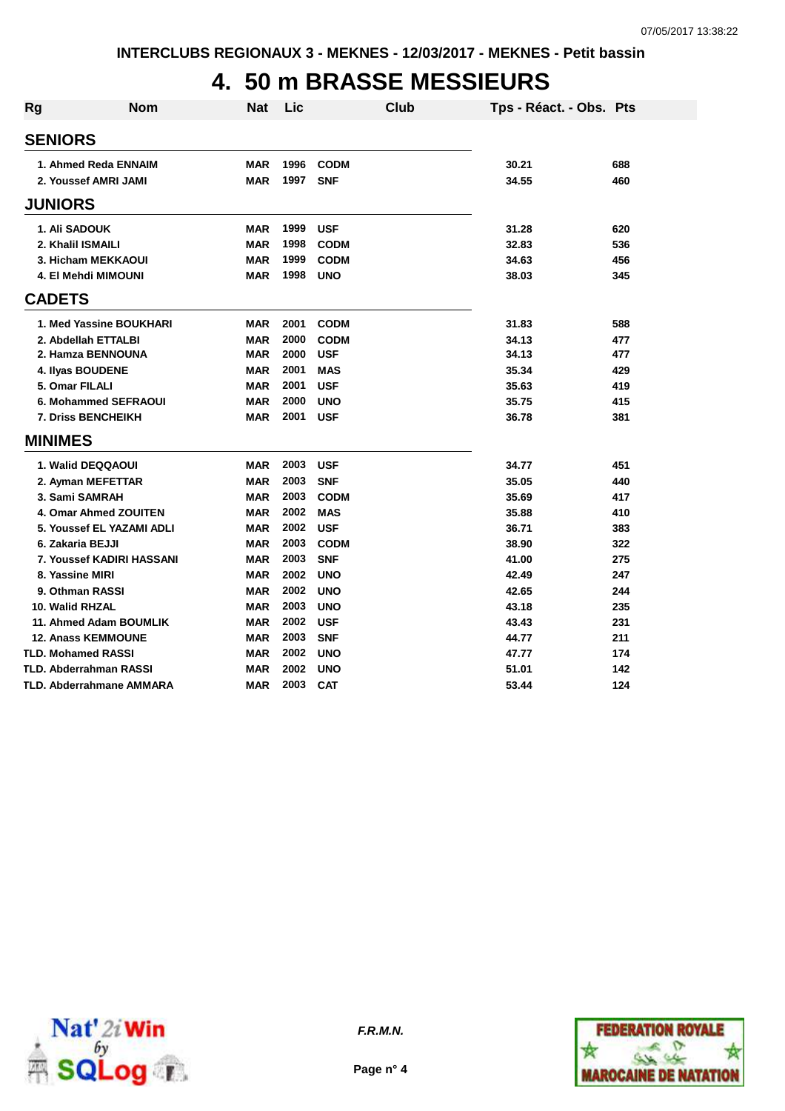#### **4. 50 m BRASSE MESSIEURS**

| <b>Rg</b> | <b>Nom</b>                    | <b>Nat</b> | Lic  | Club        | Tps - Réact. - Obs. Pts |     |
|-----------|-------------------------------|------------|------|-------------|-------------------------|-----|
|           | <b>SENIORS</b>                |            |      |             |                         |     |
|           | 1. Ahmed Reda ENNAIM          | <b>MAR</b> | 1996 | <b>CODM</b> | 30.21                   | 688 |
|           | 2. Youssef AMRI JAMI          | <b>MAR</b> | 1997 | <b>SNF</b>  | 34.55                   | 460 |
|           | <b>JUNIORS</b>                |            |      |             |                         |     |
|           | 1. Ali SADOUK                 | <b>MAR</b> | 1999 | <b>USF</b>  | 31.28                   | 620 |
|           | 2. Khalil ISMAILI             | <b>MAR</b> | 1998 | <b>CODM</b> | 32.83                   | 536 |
|           | 3. Hicham MEKKAOUI            | <b>MAR</b> | 1999 | <b>CODM</b> | 34.63                   | 456 |
|           | 4. El Mehdi MIMOUNI           | <b>MAR</b> | 1998 | <b>UNO</b>  | 38.03                   | 345 |
|           | <b>CADETS</b>                 |            |      |             |                         |     |
|           | 1. Med Yassine BOUKHARI       | <b>MAR</b> | 2001 | <b>CODM</b> | 31.83                   | 588 |
|           | 2. Abdellah ETTALBI           | <b>MAR</b> | 2000 | <b>CODM</b> | 34.13                   | 477 |
|           | 2. Hamza BENNOUNA             | <b>MAR</b> | 2000 | <b>USF</b>  | 34.13                   | 477 |
|           | 4. Ilyas BOUDENE              | <b>MAR</b> | 2001 | <b>MAS</b>  | 35.34                   | 429 |
|           | 5. Omar FILALI                | <b>MAR</b> | 2001 | <b>USF</b>  | 35.63                   | 419 |
|           | 6. Mohammed SEFRAOUI          | <b>MAR</b> | 2000 | <b>UNO</b>  | 35.75                   | 415 |
|           | <b>7. Driss BENCHEIKH</b>     | <b>MAR</b> | 2001 | <b>USF</b>  | 36.78                   | 381 |
|           | <b>MINIMES</b>                |            |      |             |                         |     |
|           | 1. Walid DEQQAOUI             | <b>MAR</b> | 2003 | <b>USF</b>  | 34.77                   | 451 |
|           | 2. Ayman MEFETTAR             | <b>MAR</b> | 2003 | <b>SNF</b>  | 35.05                   | 440 |
|           | 3. Sami SAMRAH                | <b>MAR</b> | 2003 | <b>CODM</b> | 35.69                   | 417 |
|           | 4. Omar Ahmed ZOUITEN         | <b>MAR</b> | 2002 | <b>MAS</b>  | 35.88                   | 410 |
|           | 5. Youssef EL YAZAMI ADLI     | <b>MAR</b> | 2002 | <b>USF</b>  | 36.71                   | 383 |
|           | 6. Zakaria BEJJI              | <b>MAR</b> | 2003 | <b>CODM</b> | 38.90                   | 322 |
|           | 7. Youssef KADIRI HASSANI     | <b>MAR</b> | 2003 | <b>SNF</b>  | 41.00                   | 275 |
|           | 8. Yassine MIRI               | <b>MAR</b> | 2002 | <b>UNO</b>  | 42.49                   | 247 |
|           | 9. Othman RASSI               | <b>MAR</b> | 2002 | <b>UNO</b>  | 42.65                   | 244 |
|           | 10. Walid RHZAL               | <b>MAR</b> | 2003 | <b>UNO</b>  | 43.18                   | 235 |
|           | 11. Ahmed Adam BOUMLIK        | <b>MAR</b> | 2002 | <b>USF</b>  | 43.43                   | 231 |
|           | <b>12. Anass KEMMOUNE</b>     | <b>MAR</b> | 2003 | <b>SNF</b>  | 44.77                   | 211 |
|           | <b>TLD. Mohamed RASSI</b>     | <b>MAR</b> | 2002 | <b>UNO</b>  | 47.77                   | 174 |
|           | <b>TLD. Abderrahman RASSI</b> | <b>MAR</b> | 2002 | <b>UNO</b>  | 51.01                   | 142 |
|           | TLD. Abderrahmane AMMARA      | <b>MAR</b> | 2003 | <b>CAT</b>  | 53.44                   | 124 |



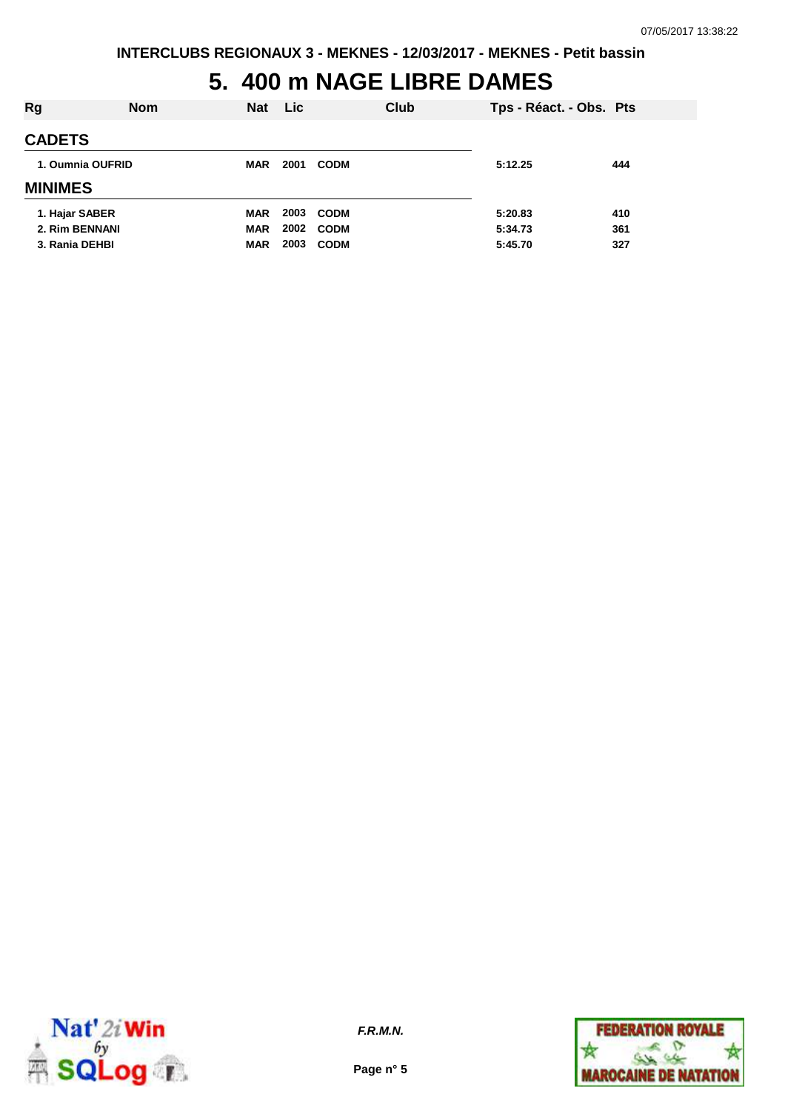## **5. 400 m NAGE LIBRE DAMES**

| Rg               | <b>Nom</b> | <b>Nat</b> | <b>Lic</b> | Club        | Tps - Réact. - Obs. Pts |     |
|------------------|------------|------------|------------|-------------|-------------------------|-----|
| <b>CADETS</b>    |            |            |            |             |                         |     |
| 1. Oumnia OUFRID |            | <b>MAR</b> | 2001       | <b>CODM</b> | 5:12.25                 | 444 |
| <b>MINIMES</b>   |            |            |            |             |                         |     |
| 1. Hajar SABER   |            | <b>MAR</b> | 2003       | <b>CODM</b> | 5:20.83                 | 410 |
| 2. Rim BENNANI   |            | <b>MAR</b> | 2002       | <b>CODM</b> | 5:34.73                 | 361 |
| 3. Rania DEHBI   |            | <b>MAR</b> | 2003       | <b>CODM</b> | 5:45.70                 | 327 |



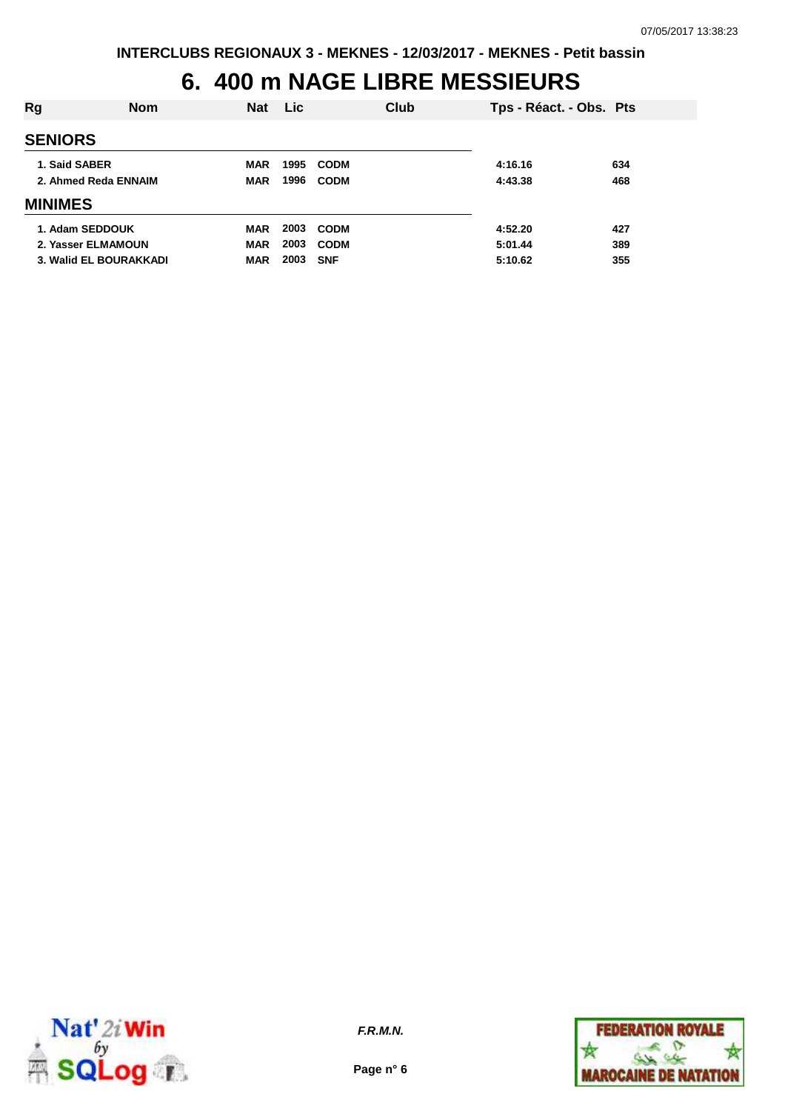### **6. 400 m NAGE LIBRE MESSIEURS**

| Rg                   | <b>Nom</b>             | <b>Nat</b> | Lic. |             | <b>Club</b> | Tps - Réact. - Obs. Pts |     |
|----------------------|------------------------|------------|------|-------------|-------------|-------------------------|-----|
| <b>SENIORS</b>       |                        |            |      |             |             |                         |     |
| 1. Said SABER        |                        | MAR        | 1995 | <b>CODM</b> |             | 4:16.16                 | 634 |
| 2. Ahmed Reda ENNAIM |                        | <b>MAR</b> | 1996 | <b>CODM</b> |             | 4:43.38                 | 468 |
| <b>MINIMES</b>       |                        |            |      |             |             |                         |     |
| 1. Adam SEDDOUK      |                        | <b>MAR</b> | 2003 | <b>CODM</b> |             | 4:52.20                 | 427 |
|                      | 2. Yasser ELMAMOUN     | <b>MAR</b> | 2003 | <b>CODM</b> |             | 5:01.44                 | 389 |
|                      | 3. Walid EL BOURAKKADI | <b>MAR</b> | 2003 | <b>SNF</b>  |             | 5:10.62                 | 355 |



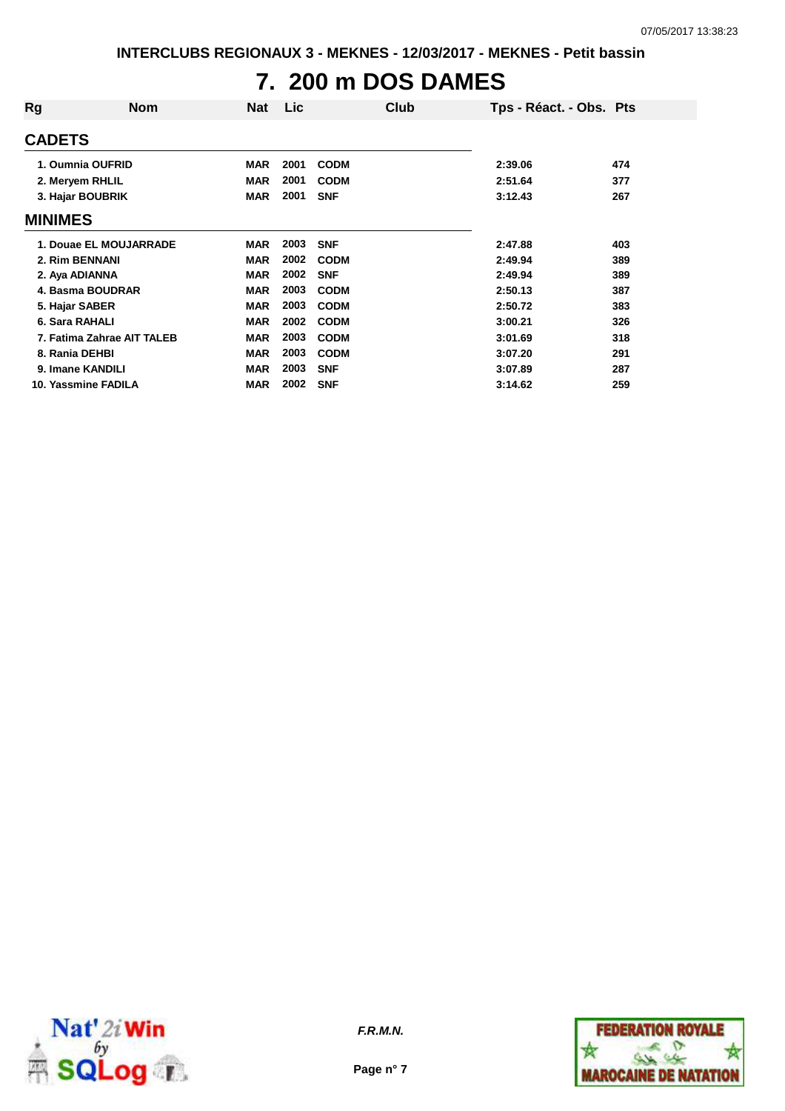# **7. 200 m DOS DAMES**

| Rg             | <b>Nom</b>                 | <b>Nat</b> | Lic  | Club        | Tps - Réact. - Obs. Pts |     |
|----------------|----------------------------|------------|------|-------------|-------------------------|-----|
| <b>CADETS</b>  |                            |            |      |             |                         |     |
|                | 1. Oumnia OUFRID           | <b>MAR</b> | 2001 | <b>CODM</b> | 2:39.06                 | 474 |
|                | 2. Meryem RHLIL            | <b>MAR</b> | 2001 | <b>CODM</b> | 2:51.64                 | 377 |
|                | 3. Hajar BOUBRIK           | <b>MAR</b> | 2001 | <b>SNF</b>  | 3:12.43                 | 267 |
| <b>MINIMES</b> |                            |            |      |             |                         |     |
|                | 1. Douae EL MOUJARRADE     | <b>MAR</b> | 2003 | <b>SNF</b>  | 2:47.88                 | 403 |
| 2. Rim BENNANI |                            | <b>MAR</b> | 2002 | <b>CODM</b> | 2:49.94                 | 389 |
| 2. Aya ADIANNA |                            | <b>MAR</b> | 2002 | <b>SNF</b>  | 2:49.94                 | 389 |
|                | 4. Basma BOUDRAR           | <b>MAR</b> | 2003 | <b>CODM</b> | 2:50.13                 | 387 |
| 5. Hajar SABER |                            | <b>MAR</b> | 2003 | <b>CODM</b> | 2:50.72                 | 383 |
| 6. Sara RAHALI |                            | <b>MAR</b> | 2002 | <b>CODM</b> | 3:00.21                 | 326 |
|                | 7. Fatima Zahrae AIT TALEB | <b>MAR</b> | 2003 | <b>CODM</b> | 3:01.69                 | 318 |
| 8. Rania DEHBI |                            | <b>MAR</b> | 2003 | <b>CODM</b> | 3:07.20                 | 291 |
|                | 9. Imane KANDILI           | <b>MAR</b> | 2003 | <b>SNF</b>  | 3:07.89                 | 287 |
|                | 10. Yassmine FADILA        | <b>MAR</b> | 2002 | <b>SNF</b>  | 3:14.62                 | 259 |



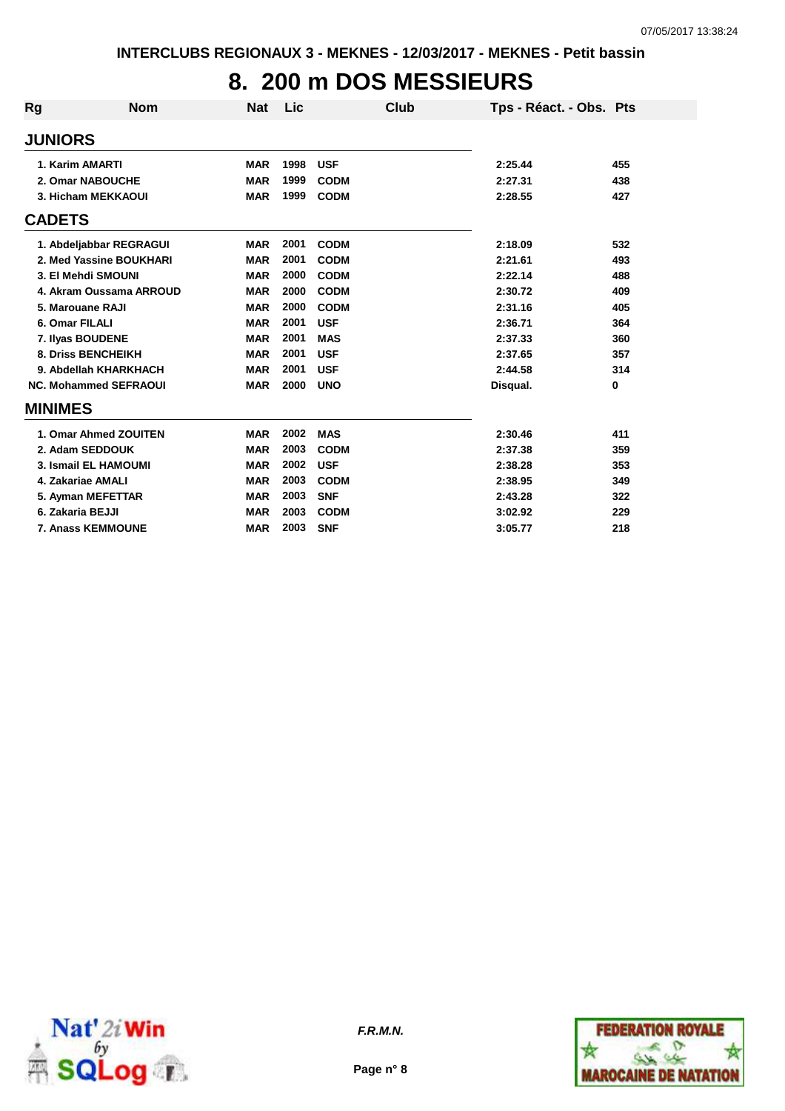## **8. 200 m DOS MESSIEURS**

| Rg               | <b>Nom</b>                   | <b>Nat</b> | <b>Lic</b> | Club        | Tps - Réact. - Obs. Pts |          |
|------------------|------------------------------|------------|------------|-------------|-------------------------|----------|
| <b>JUNIORS</b>   |                              |            |            |             |                         |          |
|                  | 1. Karim AMARTI              | <b>MAR</b> | 1998       | <b>USF</b>  | 2:25.44                 | 455      |
|                  | 2. Omar NABOUCHE             | <b>MAR</b> | 1999       | <b>CODM</b> | 2:27.31                 | 438      |
|                  | 3. Hicham MEKKAOUI           | <b>MAR</b> | 1999       | <b>CODM</b> | 2:28.55                 | 427      |
| <b>CADETS</b>    |                              |            |            |             |                         |          |
|                  | 1. Abdeljabbar REGRAGUI      | <b>MAR</b> | 2001       | <b>CODM</b> | 2:18.09                 | 532      |
|                  | 2. Med Yassine BOUKHARI      | <b>MAR</b> | 2001       | <b>CODM</b> | 2:21.61                 | 493      |
|                  | 3. El Mehdi SMOUNI           | <b>MAR</b> | 2000       | <b>CODM</b> | 2:22.14                 | 488      |
|                  | 4. Akram Oussama ARROUD      | <b>MAR</b> | 2000       | <b>CODM</b> | 2:30.72                 | 409      |
|                  | 5. Marouane RAJI             | <b>MAR</b> | 2000       | <b>CODM</b> | 2:31.16                 | 405      |
| 6. Omar FILALI   |                              | <b>MAR</b> | 2001       | <b>USF</b>  | 2:36.71                 | 364      |
|                  | 7. Ilyas BOUDENE             | <b>MAR</b> | 2001       | <b>MAS</b>  | 2:37.33                 | 360      |
|                  | <b>8. Driss BENCHEIKH</b>    | <b>MAR</b> | 2001       | <b>USF</b>  | 2:37.65                 | 357      |
|                  | 9. Abdellah KHARKHACH        | <b>MAR</b> | 2001       | <b>USF</b>  | 2:44.58                 | 314      |
|                  | <b>NC. Mohammed SEFRAOUI</b> | <b>MAR</b> | 2000       | <b>UNO</b>  | Disqual.                | $\bf{0}$ |
| <b>MINIMES</b>   |                              |            |            |             |                         |          |
|                  | 1. Omar Ahmed ZOUITEN        | <b>MAR</b> | 2002       | <b>MAS</b>  | 2:30.46                 | 411      |
|                  | 2. Adam SEDDOUK              | <b>MAR</b> | 2003       | <b>CODM</b> | 2:37.38                 | 359      |
|                  | 3. Ismail EL HAMOUMI         | <b>MAR</b> | 2002       | <b>USF</b>  | 2:38.28                 | 353      |
|                  | 4. Zakariae AMALI            | <b>MAR</b> | 2003       | <b>CODM</b> | 2:38.95                 | 349      |
|                  | 5. Ayman MEFETTAR            | <b>MAR</b> | 2003       | <b>SNF</b>  | 2:43.28                 | 322      |
| 6. Zakaria BEJJI |                              | <b>MAR</b> | 2003       | <b>CODM</b> | 3:02.92                 | 229      |
|                  | 7. Anass KEMMOUNE            | <b>MAR</b> | 2003       | <b>SNF</b>  | 3:05.77                 | 218      |



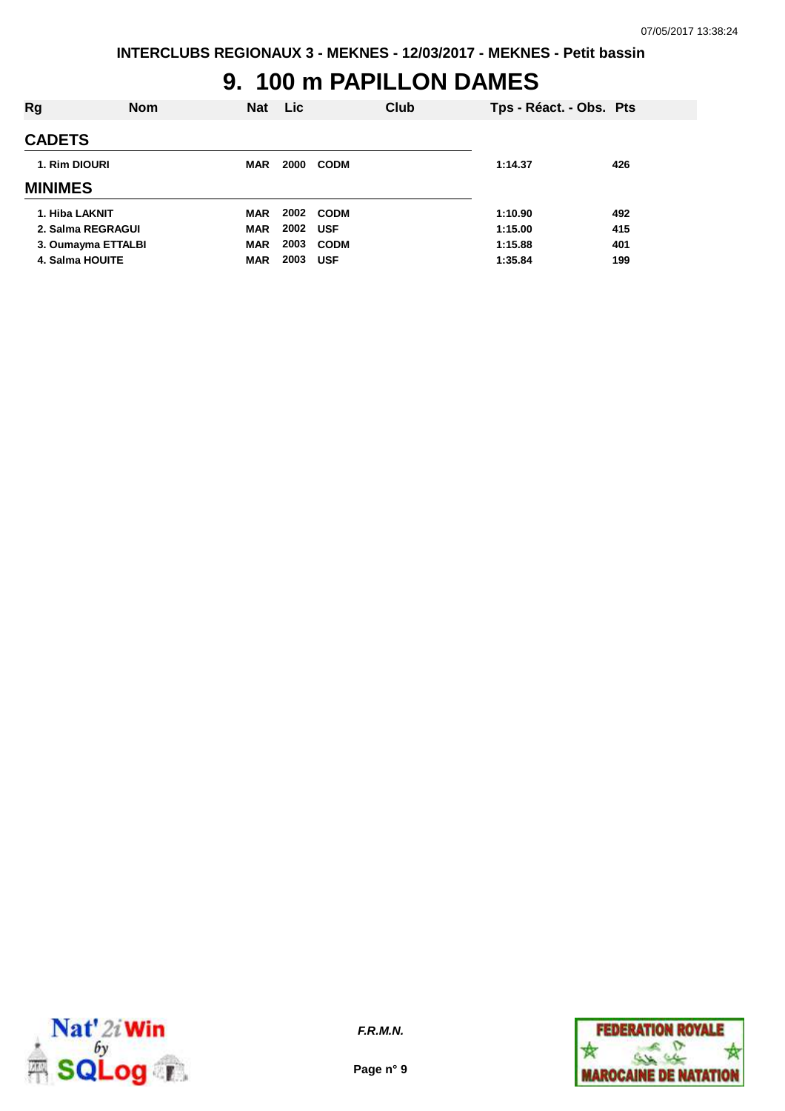#### **9. 100 m PAPILLON DAMES**

| Rg                 | <b>Nom</b> | <b>Nat</b> | <b>Lic</b> |             | Club | Tps - Réact. - Obs. Pts |     |
|--------------------|------------|------------|------------|-------------|------|-------------------------|-----|
| <b>CADETS</b>      |            |            |            |             |      |                         |     |
| 1. Rim DIOURI      |            | <b>MAR</b> | 2000       | <b>CODM</b> |      | 1:14.37                 | 426 |
| <b>MINIMES</b>     |            |            |            |             |      |                         |     |
| 1. Hiba LAKNIT     |            | MAR        |            | 2002 CODM   |      | 1:10.90                 | 492 |
| 2. Salma REGRAGUI  |            | <b>MAR</b> | 2002       | <b>USF</b>  |      | 1:15.00                 | 415 |
| 3. Oumayma ETTALBI |            | <b>MAR</b> | 2003       | <b>CODM</b> |      | 1:15.88                 | 401 |
| 4. Salma HOUITE    |            | <b>MAR</b> | 2003       | <b>USF</b>  |      | 1:35.84                 | 199 |
|                    |            |            |            |             |      |                         |     |



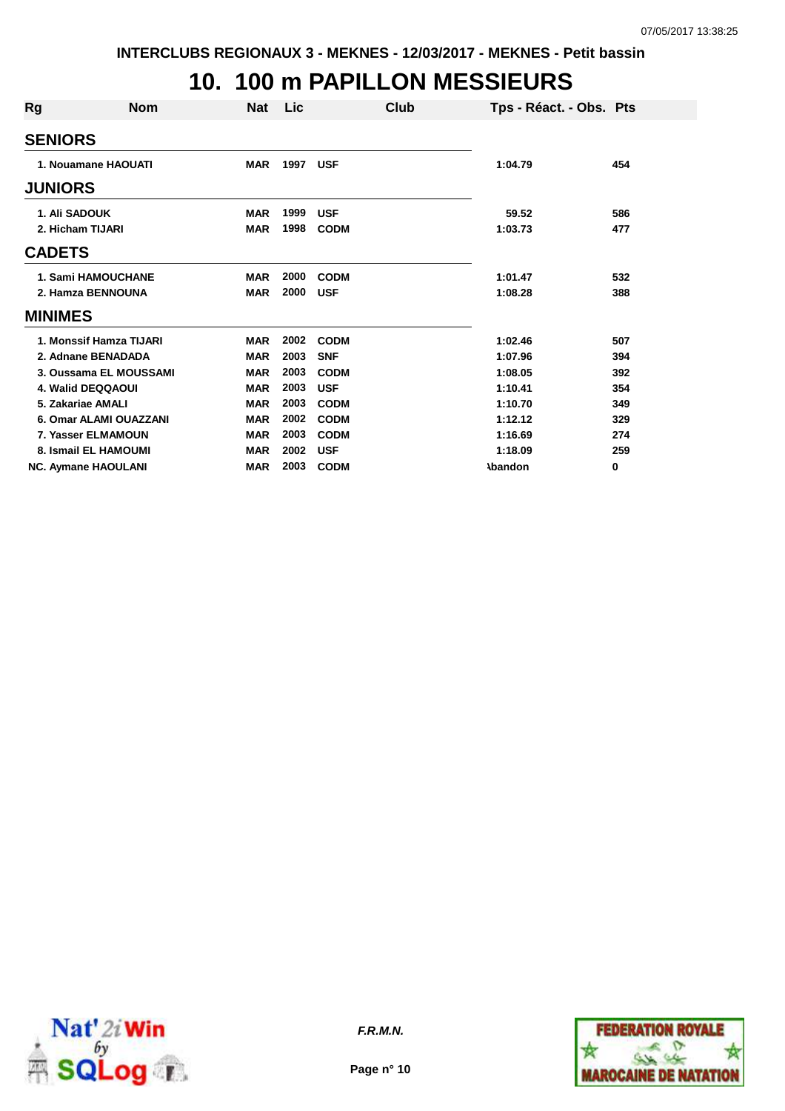### **10. 100 m PAPILLON MESSIEURS**

| Rg             | <b>Nom</b>                 | Nat        | Lic. | Club        |                | Tps - Réact. - Obs. Pts |
|----------------|----------------------------|------------|------|-------------|----------------|-------------------------|
| <b>SENIORS</b> |                            |            |      |             |                |                         |
|                | 1. Nouamane HAOUATI        | <b>MAR</b> | 1997 | <b>USF</b>  | 1:04.79        | 454                     |
| <b>JUNIORS</b> |                            |            |      |             |                |                         |
|                | 1. Ali SADOUK              | <b>MAR</b> | 1999 | <b>USF</b>  | 59.52          | 586                     |
|                | 2. Hicham TIJARI           | <b>MAR</b> | 1998 | <b>CODM</b> | 1:03.73        | 477                     |
| <b>CADETS</b>  |                            |            |      |             |                |                         |
|                | <b>1. Sami HAMOUCHANE</b>  | <b>MAR</b> | 2000 | <b>CODM</b> | 1:01.47        | 532                     |
|                | 2. Hamza BENNOUNA          | <b>MAR</b> | 2000 | <b>USF</b>  | 1:08.28        | 388                     |
| <b>MINIMES</b> |                            |            |      |             |                |                         |
|                | 1. Monssif Hamza TIJARI    | <b>MAR</b> | 2002 | <b>CODM</b> | 1:02.46        | 507                     |
|                | 2. Adnane BENADADA         | <b>MAR</b> | 2003 | <b>SNF</b>  | 1:07.96        | 394                     |
|                | 3. Oussama EL MOUSSAMI     | <b>MAR</b> | 2003 | <b>CODM</b> | 1:08.05        | 392                     |
|                | 4. Walid DEQQAOUI          | <b>MAR</b> | 2003 | <b>USF</b>  | 1:10.41        | 354                     |
|                | 5. Zakariae AMALI          | <b>MAR</b> | 2003 | <b>CODM</b> | 1:10.70        | 349                     |
|                | 6. Omar ALAMI OUAZZANI     | <b>MAR</b> | 2002 | <b>CODM</b> | 1:12.12        | 329                     |
|                | 7. Yasser ELMAMOUN         | <b>MAR</b> | 2003 | <b>CODM</b> | 1:16.69        | 274                     |
|                | 8. Ismail EL HAMOUMI       | <b>MAR</b> | 2002 | <b>USF</b>  | 1:18.09        | 259                     |
|                | <b>NC. Aymane HAOULANI</b> | <b>MAR</b> | 2003 | <b>CODM</b> | <b>\bandon</b> | 0                       |



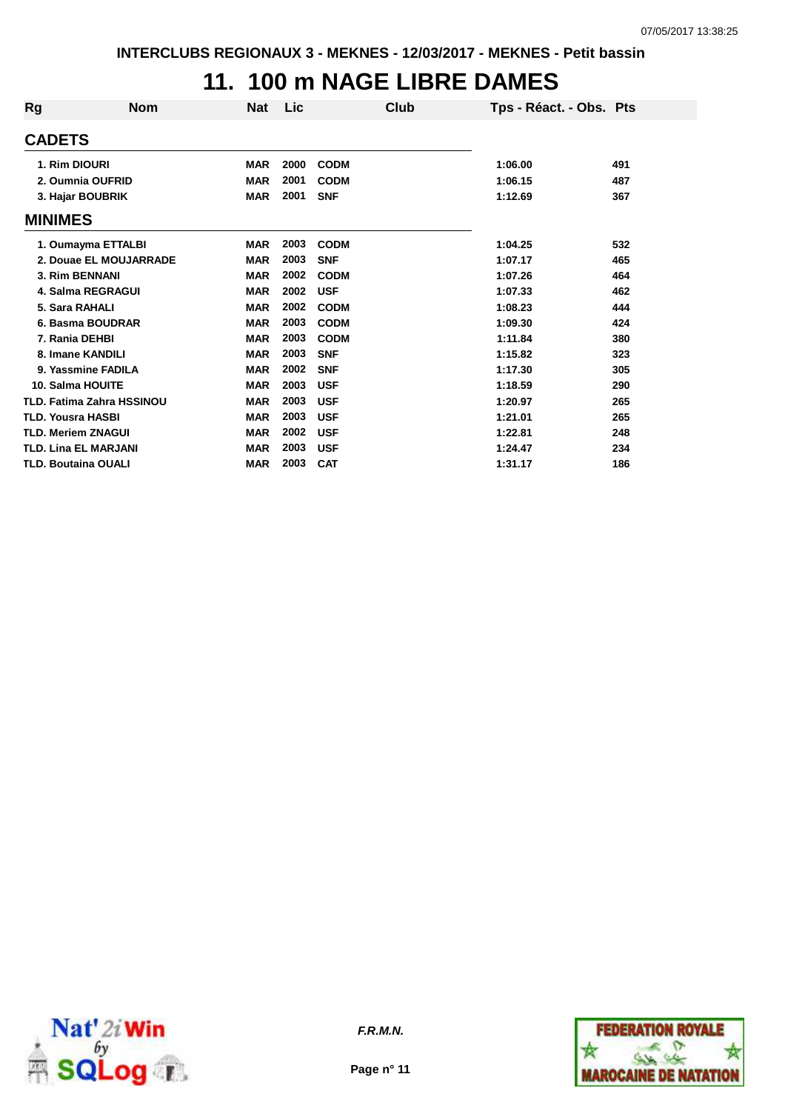### **11. 100 m NAGE LIBRE DAMES**

| Rg             | <b>Nom</b>                       | Nat        | Lic  | Club        | Tps - Réact. - Obs. Pts |     |
|----------------|----------------------------------|------------|------|-------------|-------------------------|-----|
| <b>CADETS</b>  |                                  |            |      |             |                         |     |
|                | 1. Rim DIOURI                    | <b>MAR</b> | 2000 | <b>CODM</b> | 1:06.00                 | 491 |
|                | 2. Oumnia OUFRID                 | <b>MAR</b> | 2001 | <b>CODM</b> | 1:06.15                 | 487 |
|                | 3. Hajar BOUBRIK                 | <b>MAR</b> | 2001 | <b>SNF</b>  | 1:12.69                 | 367 |
| <b>MINIMES</b> |                                  |            |      |             |                         |     |
|                | 1. Oumayma ETTALBI               | <b>MAR</b> | 2003 | <b>CODM</b> | 1:04.25                 | 532 |
|                | 2. Douae EL MOUJARRADE           | <b>MAR</b> | 2003 | <b>SNF</b>  | 1:07.17                 | 465 |
|                | 3. Rim BENNANI                   | <b>MAR</b> | 2002 | <b>CODM</b> | 1:07.26                 | 464 |
|                | 4. Salma REGRAGUI                | <b>MAR</b> | 2002 | <b>USF</b>  | 1:07.33                 | 462 |
|                | 5. Sara RAHALI                   | <b>MAR</b> | 2002 | <b>CODM</b> | 1:08.23                 | 444 |
|                | 6. Basma BOUDRAR                 | <b>MAR</b> | 2003 | <b>CODM</b> | 1:09.30                 | 424 |
|                | 7. Rania DEHBI                   | <b>MAR</b> | 2003 | <b>CODM</b> | 1:11.84                 | 380 |
|                | 8. Imane KANDILI                 | <b>MAR</b> | 2003 | <b>SNF</b>  | 1:15.82                 | 323 |
|                | 9. Yassmine FADILA               | <b>MAR</b> | 2002 | <b>SNF</b>  | 1:17.30                 | 305 |
|                | 10. Salma HOUITE                 | <b>MAR</b> | 2003 | <b>USF</b>  | 1:18.59                 | 290 |
|                | <b>TLD. Fatima Zahra HSSINOU</b> | <b>MAR</b> | 2003 | <b>USF</b>  | 1:20.97                 | 265 |
|                | <b>TLD. Yousra HASBI</b>         | <b>MAR</b> | 2003 | <b>USF</b>  | 1:21.01                 | 265 |
|                | <b>TLD. Meriem ZNAGUI</b>        | <b>MAR</b> | 2002 | <b>USF</b>  | 1:22.81                 | 248 |
|                | <b>TLD. Lina EL MARJANI</b>      | <b>MAR</b> | 2003 | <b>USF</b>  | 1:24.47                 | 234 |
|                | <b>TLD. Boutaina OUALI</b>       | <b>MAR</b> | 2003 | <b>CAT</b>  | 1:31.17                 | 186 |



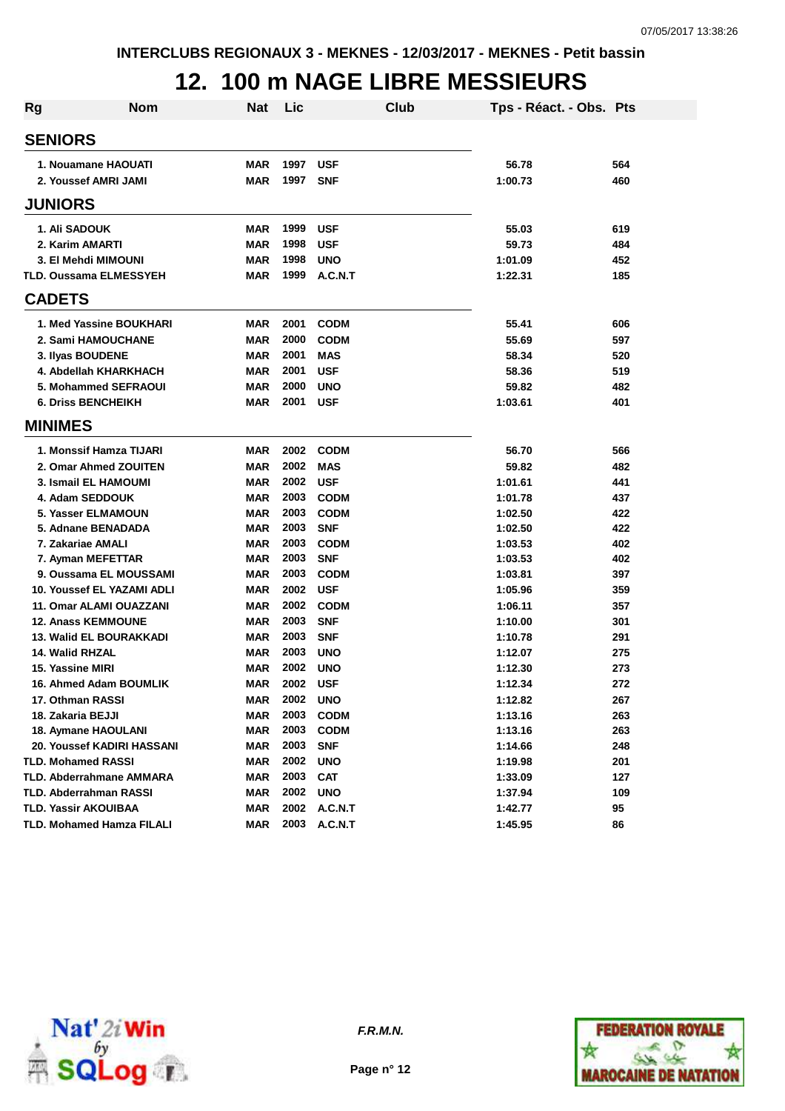#### **12. 100 m NAGE LIBRE MESSIEURS**

| Rg | <b>Nom</b>                                           | <b>Nat</b>               | Lic          | Club                      | Tps - Réact. - Obs. Pts |            |
|----|------------------------------------------------------|--------------------------|--------------|---------------------------|-------------------------|------------|
|    | <b>SENIORS</b>                                       |                          |              |                           |                         |            |
|    | 1. Nouamane HAOUATI                                  | <b>MAR</b>               | 1997         | <b>USF</b>                | 56.78                   | 564        |
|    | 2. Youssef AMRI JAMI                                 | <b>MAR</b>               | 1997         | <b>SNF</b>                | 1:00.73                 | 460        |
|    | <b>JUNIORS</b>                                       |                          |              |                           |                         |            |
|    | 1. Ali SADOUK                                        | <b>MAR</b>               | 1999         | <b>USF</b>                | 55.03                   | 619        |
|    | 2. Karim AMARTI                                      | <b>MAR</b>               | 1998         | <b>USF</b>                | 59.73                   | 484        |
|    | 3. El Mehdi MIMOUNI                                  | <b>MAR</b>               | 1998         | <b>UNO</b>                | 1:01.09                 | 452        |
|    | <b>TLD. Oussama ELMESSYEH</b>                        | <b>MAR</b>               | 1999         | A.C.N.T                   | 1:22.31                 | 185        |
|    | <b>CADETS</b>                                        |                          |              |                           |                         |            |
|    |                                                      |                          |              |                           |                         |            |
|    | 1. Med Yassine BOUKHARI                              | <b>MAR</b><br><b>MAR</b> | 2001<br>2000 | <b>CODM</b>               | 55.41<br>55.69          | 606        |
|    | 2. Sami HAMOUCHANE                                   | <b>MAR</b>               | 2001         | <b>CODM</b><br><b>MAS</b> | 58.34                   | 597<br>520 |
|    | 3. Ilyas BOUDENE<br>4. Abdellah KHARKHACH            | <b>MAR</b>               | 2001         | <b>USF</b>                | 58.36                   | 519        |
|    | 5. Mohammed SEFRAOUI                                 | <b>MAR</b>               | 2000         | <b>UNO</b>                | 59.82                   | 482        |
|    | <b>6. Driss BENCHEIKH</b>                            | <b>MAR</b>               | 2001         | <b>USF</b>                | 1:03.61                 | 401        |
|    | <b>MINIMES</b>                                       |                          |              |                           |                         |            |
|    |                                                      |                          |              |                           |                         |            |
|    | 1. Monssif Hamza TIJARI                              | <b>MAR</b>               | 2002         | <b>CODM</b>               | 56.70                   | 566        |
|    | 2. Omar Ahmed ZOUITEN                                | <b>MAR</b>               | 2002         | <b>MAS</b>                | 59.82                   | 482        |
|    | <b>3. Ismail EL HAMOUMI</b>                          | <b>MAR</b>               | 2002         | <b>USF</b>                | 1:01.61                 | 441        |
|    | 4. Adam SEDDOUK                                      | <b>MAR</b>               | 2003         | <b>CODM</b>               | 1:01.78                 | 437        |
|    | 5. Yasser ELMAMOUN                                   | <b>MAR</b>               | 2003         | <b>CODM</b>               | 1:02.50                 | 422        |
|    | 5. Adnane BENADADA                                   | <b>MAR</b>               | 2003         | <b>SNF</b>                | 1:02.50                 | 422        |
|    | 7. Zakariae AMALI                                    | <b>MAR</b>               | 2003<br>2003 | <b>CODM</b>               | 1:03.53                 | 402        |
|    | 7. Ayman MEFETTAR                                    | <b>MAR</b>               | 2003         | <b>SNF</b>                | 1:03.53                 | 402        |
|    | 9. Oussama EL MOUSSAMI<br>10. Youssef EL YAZAMI ADLI | <b>MAR</b><br><b>MAR</b> | 2002         | <b>CODM</b><br><b>USF</b> | 1:03.81<br>1:05.96      | 397<br>359 |
|    | 11. Omar ALAMI OUAZZANI                              | <b>MAR</b>               | 2002         | <b>CODM</b>               | 1:06.11                 | 357        |
|    | <b>12. Anass KEMMOUNE</b>                            | <b>MAR</b>               | 2003         | <b>SNF</b>                | 1:10.00                 | 301        |
|    | 13. Walid EL BOURAKKADI                              | <b>MAR</b>               | 2003         | <b>SNF</b>                | 1:10.78                 | 291        |
|    | <b>14. Walid RHZAL</b>                               | <b>MAR</b>               | 2003         | <b>UNO</b>                | 1:12.07                 | 275        |
|    | 15. Yassine MIRI                                     | <b>MAR</b>               | 2002         | <b>UNO</b>                | 1:12.30                 | 273        |
|    | 16. Ahmed Adam BOUMLIK                               | <b>MAR</b>               | 2002         | <b>USF</b>                | 1:12.34                 | 272        |
|    | 17. Othman RASSI                                     | <b>MAR</b>               | 2002         | <b>UNO</b>                | 1:12.82                 | 267        |
|    | 18. Zakaria BEJJI                                    | <b>MAR</b>               | 2003         | <b>CODM</b>               | 1:13.16                 | 263        |
|    | 18. Aymane HAOULANI                                  | <b>MAR</b>               | 2003         | <b>CODM</b>               | 1:13.16                 | 263        |
|    | 20. Youssef KADIRI HASSANI                           | <b>MAR</b>               | 2003         | <b>SNF</b>                | 1:14.66                 | 248        |
|    | <b>TLD. Mohamed RASSI</b>                            | <b>MAR</b>               | 2002         | <b>UNO</b>                | 1:19.98                 | 201        |
|    | <b>TLD. Abderrahmane AMMARA</b>                      | <b>MAR</b>               | 2003         | <b>CAT</b>                | 1:33.09                 | 127        |
|    | <b>TLD. Abderrahman RASSI</b>                        | <b>MAR</b>               | 2002         | <b>UNO</b>                | 1:37.94                 | 109        |
|    | TLD. Yassir AKOUIBAA                                 | <b>MAR</b>               | 2002         | A.C.N.T                   | 1:42.77                 | 95         |
|    | <b>TLD. Mohamed Hamza FILALI</b>                     | <b>MAR</b>               | 2003         | A.C.N.T                   | 1:45.95                 | 86         |



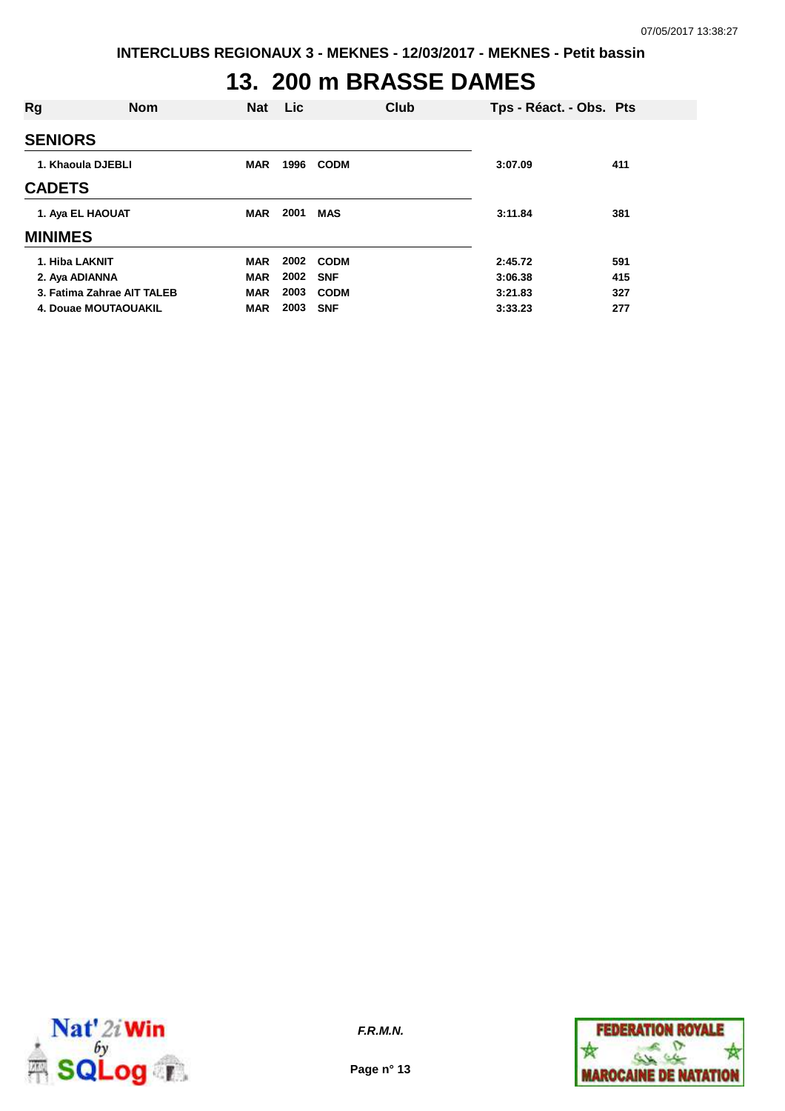# **13. 200 m BRASSE DAMES**

| Rg                         | <b>Nom</b> | <b>Nat</b> | Lic  |             | Club | Tps - Réact. - Obs. Pts |     |
|----------------------------|------------|------------|------|-------------|------|-------------------------|-----|
| <b>SENIORS</b>             |            |            |      |             |      |                         |     |
| 1. Khaoula DJEBLI          |            | <b>MAR</b> | 1996 | <b>CODM</b> |      | 3:07.09                 | 411 |
| <b>CADETS</b>              |            |            |      |             |      |                         |     |
| 1. Aya EL HAOUAT           |            | <b>MAR</b> | 2001 | <b>MAS</b>  |      | 3:11.84                 | 381 |
| <b>MINIMES</b>             |            |            |      |             |      |                         |     |
| 1. Hiba LAKNIT             |            | <b>MAR</b> | 2002 | CODM        |      | 2:45.72                 | 591 |
| 2. Aya ADIANNA             |            | <b>MAR</b> | 2002 | <b>SNF</b>  |      | 3:06.38                 | 415 |
| 3. Fatima Zahrae AIT TALEB |            | <b>MAR</b> | 2003 | <b>CODM</b> |      | 3:21.83                 | 327 |
| 4. Douae MOUTAOUAKIL       |            | <b>MAR</b> | 2003 | <b>SNF</b>  |      | 3:33.23                 | 277 |



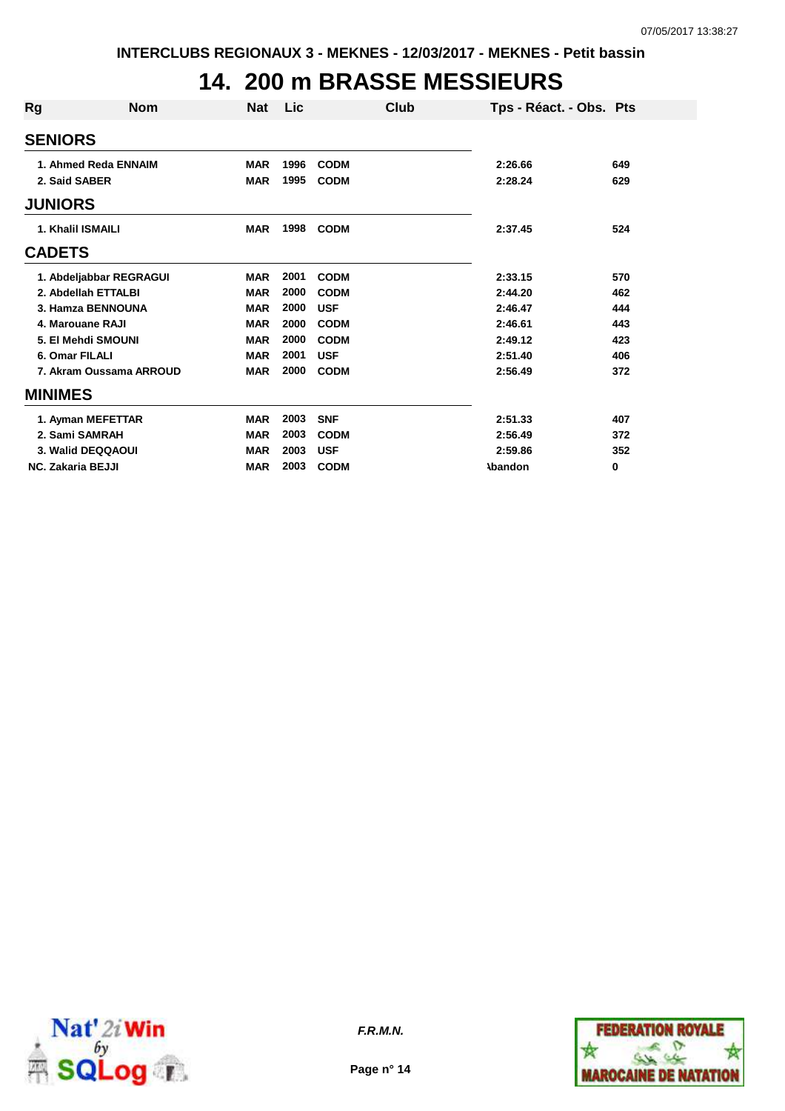### **14. 200 m BRASSE MESSIEURS**

| Rg                       | <b>Nom</b>              | <b>Nat</b> | <b>Lic</b> | Club        | Tps - Réact. - Obs. Pts |     |
|--------------------------|-------------------------|------------|------------|-------------|-------------------------|-----|
| <b>SENIORS</b>           |                         |            |            |             |                         |     |
|                          | 1. Ahmed Reda ENNAIM    | <b>MAR</b> | 1996       | <b>CODM</b> | 2:26.66                 | 649 |
| 2. Said SABER            |                         | <b>MAR</b> | 1995       | <b>CODM</b> | 2:28.24                 | 629 |
| <b>JUNIORS</b>           |                         |            |            |             |                         |     |
| 1. Khalil ISMAILI        |                         | <b>MAR</b> | 1998       | <b>CODM</b> | 2:37.45                 | 524 |
| <b>CADETS</b>            |                         |            |            |             |                         |     |
|                          | 1. Abdeljabbar REGRAGUI | <b>MAR</b> | 2001       | <b>CODM</b> | 2:33.15                 | 570 |
|                          | 2. Abdellah ETTALBI     | <b>MAR</b> | 2000       | <b>CODM</b> | 2:44.20                 | 462 |
|                          | 3. Hamza BENNOUNA       | <b>MAR</b> | 2000       | <b>USF</b>  | 2:46.47                 | 444 |
|                          | 4. Marouane RAJI        | <b>MAR</b> | 2000       | <b>CODM</b> | 2:46.61                 | 443 |
|                          | 5. El Mehdi SMOUNI      | <b>MAR</b> | 2000       | <b>CODM</b> | 2:49.12                 | 423 |
| 6. Omar FILALI           |                         | <b>MAR</b> | 2001       | <b>USF</b>  | 2:51.40                 | 406 |
|                          | 7. Akram Oussama ARROUD | <b>MAR</b> | 2000       | <b>CODM</b> | 2:56.49                 | 372 |
| <b>MINIMES</b>           |                         |            |            |             |                         |     |
|                          | 1. Ayman MEFETTAR       | <b>MAR</b> | 2003       | <b>SNF</b>  | 2:51.33                 | 407 |
| 2. Sami SAMRAH           |                         | <b>MAR</b> | 2003       | <b>CODM</b> | 2:56.49                 | 372 |
|                          | 3. Walid DEQQAOUI       | <b>MAR</b> | 2003       | <b>USF</b>  | 2:59.86                 | 352 |
| <b>NC. Zakaria BEJJI</b> |                         | <b>MAR</b> | 2003       | <b>CODM</b> | <b>\bandon</b>          | 0   |



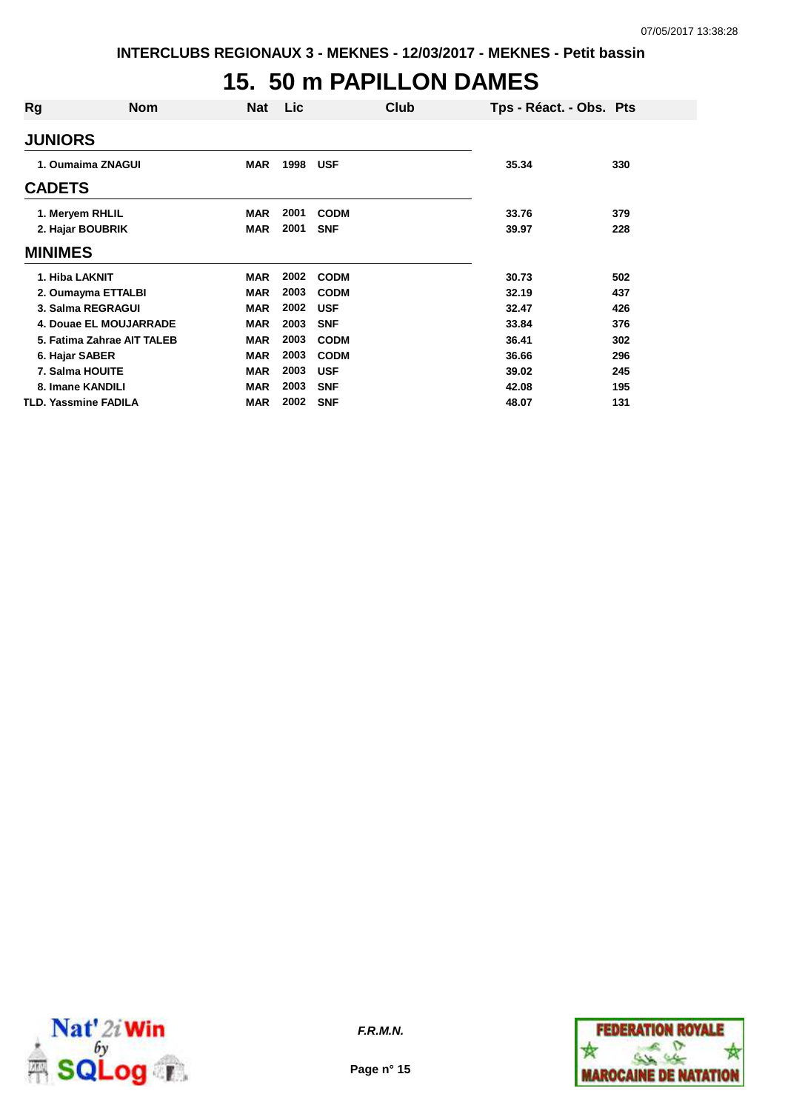### **15. 50 m PAPILLON DAMES**

| Rg                          | <b>Nom</b>                 | Nat        | <b>Lic</b> | Club        | Tps - Réact. - Obs. Pts |     |
|-----------------------------|----------------------------|------------|------------|-------------|-------------------------|-----|
| <b>JUNIORS</b>              |                            |            |            |             |                         |     |
| 1. Oumaima ZNAGUI           |                            | <b>MAR</b> | 1998       | <b>USF</b>  | 35.34                   | 330 |
| <b>CADETS</b>               |                            |            |            |             |                         |     |
| 1. Meryem RHLIL             |                            | <b>MAR</b> | 2001       | <b>CODM</b> | 33.76                   | 379 |
| 2. Hajar BOUBRIK            |                            | <b>MAR</b> | 2001       | <b>SNF</b>  | 39.97                   | 228 |
| <b>MINIMES</b>              |                            |            |            |             |                         |     |
| 1. Hiba LAKNIT              |                            | <b>MAR</b> | 2002       | <b>CODM</b> | 30.73                   | 502 |
| 2. Oumayma ETTALBI          |                            | <b>MAR</b> | 2003       | <b>CODM</b> | 32.19                   | 437 |
| 3. Salma REGRAGUI           |                            | <b>MAR</b> | 2002       | <b>USF</b>  | 32.47                   | 426 |
|                             | 4. Douae EL MOUJARRADE     | <b>MAR</b> | 2003       | <b>SNF</b>  | 33.84                   | 376 |
|                             | 5. Fatima Zahrae AIT TALEB | <b>MAR</b> | 2003       | <b>CODM</b> | 36.41                   | 302 |
| 6. Hajar SABER              |                            | <b>MAR</b> | 2003       | <b>CODM</b> | 36.66                   | 296 |
| 7. Salma HOUITE             |                            | <b>MAR</b> | 2003       | <b>USF</b>  | 39.02                   | 245 |
| 8. Imane KANDILI            |                            | <b>MAR</b> | 2003       | <b>SNF</b>  | 42.08                   | 195 |
| <b>TLD. Yassmine FADILA</b> |                            | <b>MAR</b> | 2002       | <b>SNF</b>  | 48.07                   | 131 |



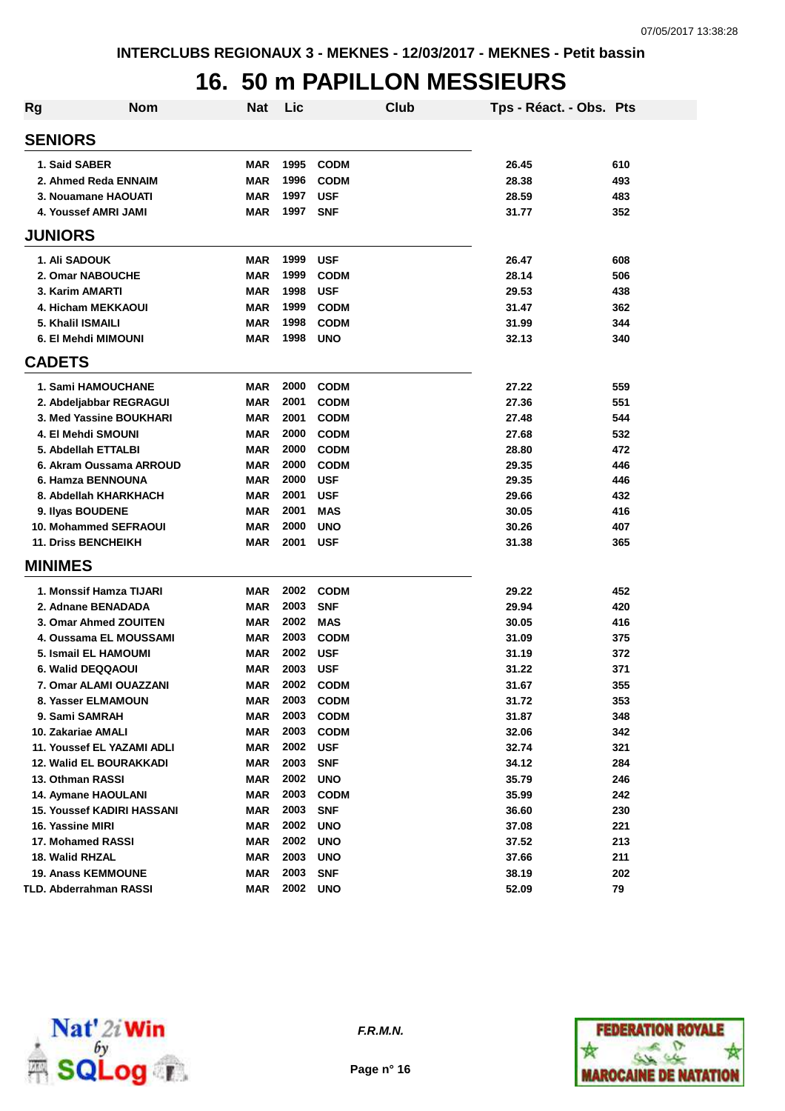## **16. 50 m PAPILLON MESSIEURS**

| Rg | <b>Nom</b>                        | Nat        | Lic      | Club        | Tps - Réact. - Obs. Pts |     |
|----|-----------------------------------|------------|----------|-------------|-------------------------|-----|
|    | <b>SENIORS</b>                    |            |          |             |                         |     |
|    | 1. Said SABER                     | MAR        | 1995     | <b>CODM</b> | 26.45                   | 610 |
|    | 2. Ahmed Reda ENNAIM              | MAR        | 1996     | <b>CODM</b> | 28.38                   | 493 |
|    | 3. Nouamane HAOUATI               | MAR        | 1997     | <b>USF</b>  | 28.59                   | 483 |
|    | <b>4. Youssef AMRI JAMI</b>       | MAR        | 1997     | <b>SNF</b>  | 31.77                   | 352 |
|    | <b>JUNIORS</b>                    |            |          |             |                         |     |
|    | 1. Ali SADOUK                     | MAR        | 1999     | <b>USF</b>  | 26.47                   | 608 |
|    | 2. Omar NABOUCHE                  | <b>MAR</b> | 1999     | <b>CODM</b> | 28.14                   | 506 |
|    | 3. Karim AMARTI                   | MAR        | 1998     | <b>USF</b>  | 29.53                   | 438 |
|    | 4. Hicham MEKKAOUI                | MAR        | 1999     | <b>CODM</b> | 31.47                   | 362 |
|    | 5. Khalil ISMAILI                 | MAR        | 1998     | <b>CODM</b> | 31.99                   | 344 |
|    | 6. El Mehdi MIMOUNI               | MAR        | 1998     | <b>UNO</b>  | 32.13                   | 340 |
|    | <b>CADETS</b>                     |            |          |             |                         |     |
|    | <b>1. Sami HAMOUCHANE</b>         | MAR        | 2000     | <b>CODM</b> | 27.22                   | 559 |
|    | 2. Abdeljabbar REGRAGUI           | <b>MAR</b> | 2001     | <b>CODM</b> | 27.36                   | 551 |
|    | 3. Med Yassine BOUKHARI           | MAR        | 2001     | <b>CODM</b> | 27.48                   | 544 |
|    | 4. El Mehdi SMOUNI                | MAR        | 2000     | <b>CODM</b> | 27.68                   | 532 |
|    | 5. Abdellah ETTALBI               | MAR        | 2000     | <b>CODM</b> | 28.80                   | 472 |
|    | 6. Akram Oussama ARROUD           | MAR        | 2000     | <b>CODM</b> | 29.35                   | 446 |
|    | 6. Hamza BENNOUNA                 | <b>MAR</b> | 2000     | <b>USF</b>  | 29.35                   | 446 |
|    | 8. Abdellah KHARKHACH             | MAR        | 2001     | <b>USF</b>  | 29.66                   | 432 |
|    | 9. Ilyas BOUDENE                  | <b>MAR</b> | 2001     | <b>MAS</b>  | 30.05                   | 416 |
|    | 10. Mohammed SEFRAOUI             | MAR        | 2000     | <b>UNO</b>  | 30.26                   | 407 |
|    | <b>11. Driss BENCHEIKH</b>        | MAR        | 2001     | <b>USF</b>  | 31.38                   | 365 |
|    | <b>MINIMES</b>                    |            |          |             |                         |     |
|    | 1. Monssif Hamza TIJARI           | <b>MAR</b> | 2002     | <b>CODM</b> | 29.22                   | 452 |
|    | 2. Adnane BENADADA                | MAR        | 2003     | <b>SNF</b>  | 29.94                   | 420 |
|    | 3. Omar Ahmed ZOUITEN             | MAR        | 2002     | <b>MAS</b>  | 30.05                   | 416 |
|    | 4. Oussama EL MOUSSAMI            | <b>MAR</b> | 2003     | <b>CODM</b> | 31.09                   | 375 |
|    | 5. Ismail EL HAMOUMI              | MAR        | 2002     | <b>USF</b>  | 31.19                   | 372 |
|    | 6. Walid DEQQAOUI                 | MAR        | 2003     | <b>USF</b>  | 31.22                   | 371 |
|    | 7. Omar ALAMI OUAZZANI            | MAR        | 2002     | <b>CODM</b> | 31.67                   | 355 |
|    | 8. Yasser ELMAMOUN                | MAR        | 2003     | <b>CODM</b> | 31.72                   | 353 |
|    | 9. Sami SAMRAH                    | <b>MAR</b> | 2003     | <b>CODM</b> | 31.87                   | 348 |
|    | 10. Zakariae AMALI                | <b>MAR</b> | 2003     | <b>CODM</b> | 32.06                   | 342 |
|    | 11. Youssef EL YAZAMI ADLI        | <b>MAR</b> | 2002     | <b>USF</b>  | 32.74                   | 321 |
|    | <b>12. Walid EL BOURAKKADI</b>    | <b>MAR</b> | 2003     | <b>SNF</b>  | 34.12                   | 284 |
|    | 13. Othman RASSI                  | <b>MAR</b> | 2002     | <b>UNO</b>  | 35.79                   | 246 |
|    | 14. Aymane HAOULANI               | <b>MAR</b> | 2003     | <b>CODM</b> | 35.99                   | 242 |
|    | <b>15. Youssef KADIRI HASSANI</b> | <b>MAR</b> | 2003     | <b>SNF</b>  | 36.60                   | 230 |
|    | 16. Yassine MIRI                  | <b>MAR</b> | 2002     | <b>UNO</b>  | 37.08                   | 221 |
|    | 17. Mohamed RASSI                 | <b>MAR</b> | 2002     | <b>UNO</b>  | 37.52                   | 213 |
|    | 18. Walid RHZAL                   | <b>MAR</b> | 2003     | <b>UNO</b>  | 37.66                   | 211 |
|    | <b>19. Anass KEMMOUNE</b>         | <b>MAR</b> | 2003     | <b>SNF</b>  | 38.19                   | 202 |
|    | TLD. Abderrahman RASSI            | <b>MAR</b> | 2002 UNO |             | 52.09                   | 79  |



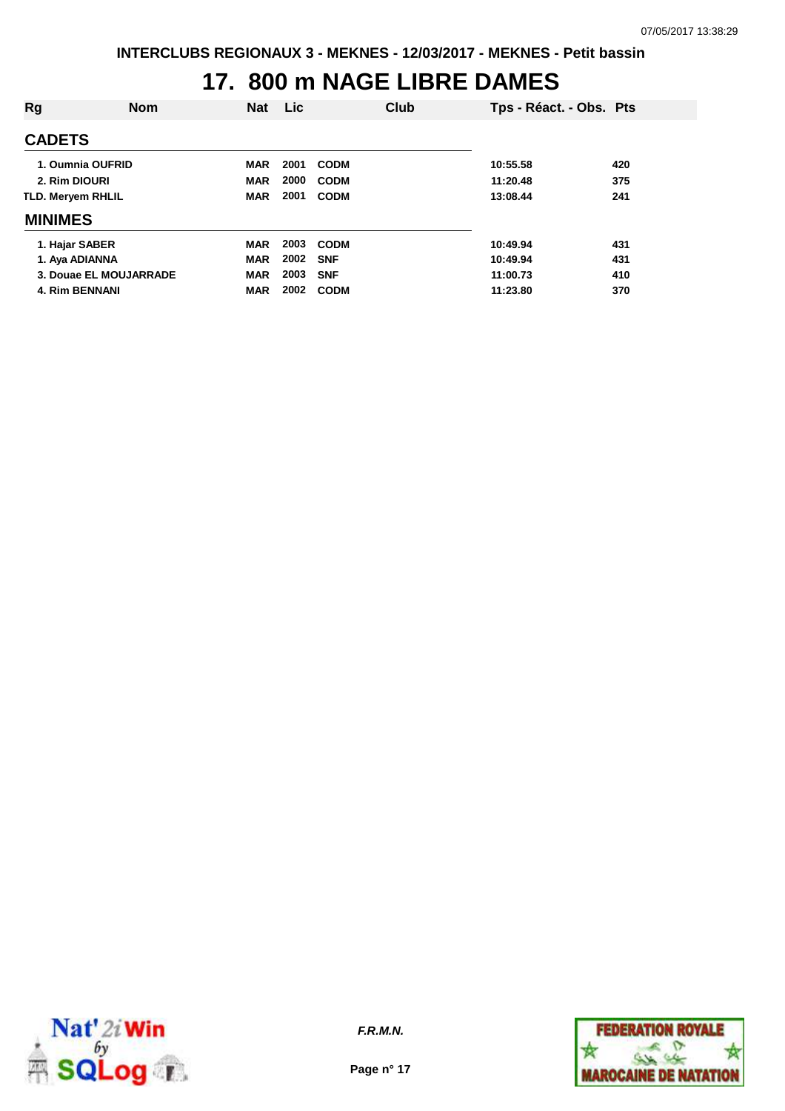## **17. 800 m NAGE LIBRE DAMES**

| Rg                       | <b>Nom</b>             | <b>Nat</b> | Lic  | Club        | Tps - Réact. - Obs. Pts |     |
|--------------------------|------------------------|------------|------|-------------|-------------------------|-----|
| <b>CADETS</b>            |                        |            |      |             |                         |     |
|                          | 1. Oumnia OUFRID       | <b>MAR</b> | 2001 | <b>CODM</b> | 10:55.58                | 420 |
| 2. Rim DIOURI            |                        | <b>MAR</b> | 2000 | <b>CODM</b> | 11:20.48                | 375 |
| <b>TLD. Mervem RHLIL</b> |                        | <b>MAR</b> | 2001 | <b>CODM</b> | 13:08.44                | 241 |
| <b>MINIMES</b>           |                        |            |      |             |                         |     |
| 1. Hajar SABER           |                        | <b>MAR</b> | 2003 | <b>CODM</b> | 10:49.94                | 431 |
| 1. Aya ADIANNA           |                        | <b>MAR</b> | 2002 | <b>SNF</b>  | 10:49.94                | 431 |
|                          | 3. Douae EL MOUJARRADE | <b>MAR</b> | 2003 | <b>SNF</b>  | 11:00.73                | 410 |
| <b>4. Rim BENNANI</b>    |                        | <b>MAR</b> | 2002 | <b>CODM</b> | 11:23.80                | 370 |



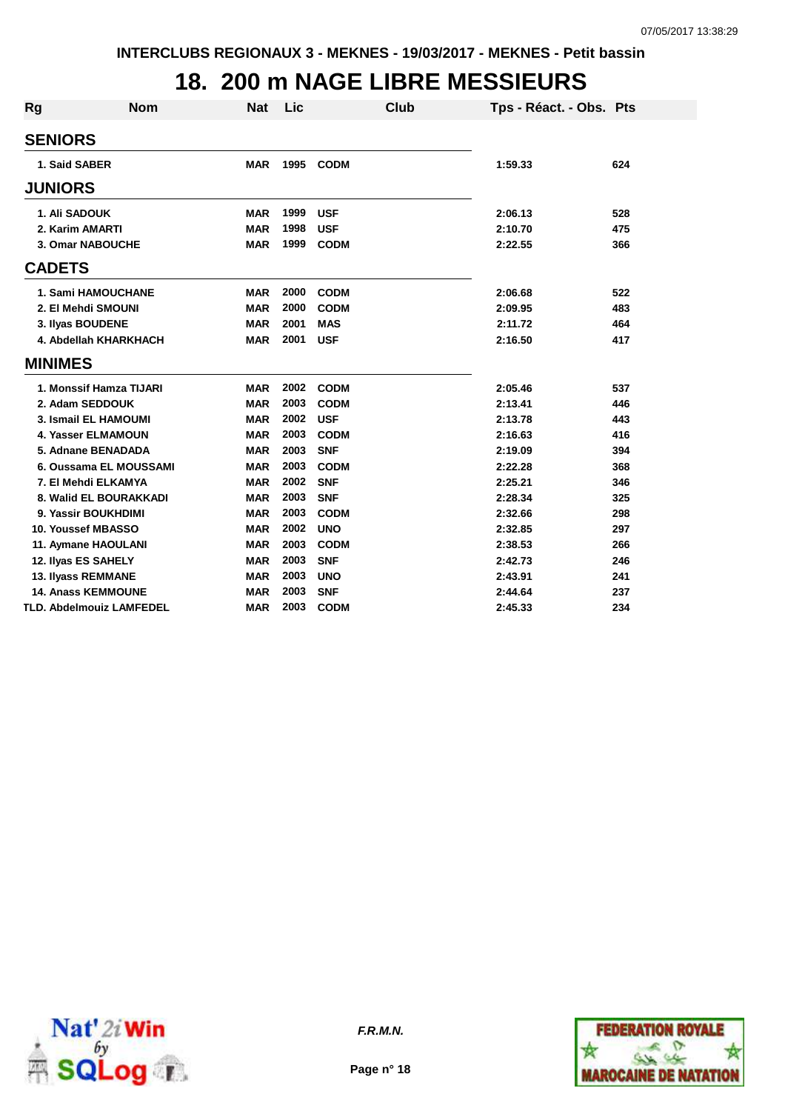#### **18. 200 m NAGE LIBRE MESSIEURS**

| Rg             | <b>Nom</b>                      | <b>Nat</b> | Lic  | <b>Club</b> | Tps - Réact. - Obs. Pts |     |
|----------------|---------------------------------|------------|------|-------------|-------------------------|-----|
| <b>SENIORS</b> |                                 |            |      |             |                         |     |
| 1. Said SABER  |                                 | <b>MAR</b> | 1995 | <b>CODM</b> | 1:59.33                 | 624 |
| <b>JUNIORS</b> |                                 |            |      |             |                         |     |
| 1. Ali SADOUK  |                                 | <b>MAR</b> | 1999 | <b>USF</b>  | 2:06.13                 | 528 |
|                | 2. Karim AMARTI                 | <b>MAR</b> | 1998 | <b>USF</b>  | 2:10.70                 | 475 |
|                | 3. Omar NABOUCHE                | <b>MAR</b> | 1999 | <b>CODM</b> | 2:22.55                 | 366 |
| <b>CADETS</b>  |                                 |            |      |             |                         |     |
|                | 1. Sami HAMOUCHANE              | <b>MAR</b> | 2000 | <b>CODM</b> | 2:06.68                 | 522 |
|                | 2. El Mehdi SMOUNI              | <b>MAR</b> | 2000 | <b>CODM</b> | 2:09.95                 | 483 |
|                | 3. Ilyas BOUDENE                | <b>MAR</b> | 2001 | <b>MAS</b>  | 2:11.72                 | 464 |
|                | 4. Abdellah KHARKHACH           | <b>MAR</b> | 2001 | <b>USF</b>  | 2:16.50                 | 417 |
| <b>MINIMES</b> |                                 |            |      |             |                         |     |
|                | 1. Monssif Hamza TIJARI         | <b>MAR</b> | 2002 | <b>CODM</b> | 2:05.46                 | 537 |
|                | 2. Adam SEDDOUK                 | <b>MAR</b> | 2003 | <b>CODM</b> | 2:13.41                 | 446 |
|                | 3. Ismail EL HAMOUMI            | <b>MAR</b> | 2002 | <b>USF</b>  | 2:13.78                 | 443 |
|                | <b>4. Yasser ELMAMOUN</b>       | <b>MAR</b> | 2003 | <b>CODM</b> | 2:16.63                 | 416 |
|                | 5. Adnane BENADADA              | <b>MAR</b> | 2003 | <b>SNF</b>  | 2:19.09                 | 394 |
|                | 6. Oussama EL MOUSSAMI          | <b>MAR</b> | 2003 | <b>CODM</b> | 2:22.28                 | 368 |
|                | 7. El Mehdi ELKAMYA             | <b>MAR</b> | 2002 | <b>SNF</b>  | 2:25.21                 | 346 |
|                | 8. Walid EL BOURAKKADI          | <b>MAR</b> | 2003 | <b>SNF</b>  | 2:28.34                 | 325 |
|                | 9. Yassir BOUKHDIMI             | <b>MAR</b> | 2003 | <b>CODM</b> | 2:32.66                 | 298 |
|                | 10. Youssef MBASSO              | <b>MAR</b> | 2002 | <b>UNO</b>  | 2:32.85                 | 297 |
|                | 11. Aymane HAOULANI             | <b>MAR</b> | 2003 | <b>CODM</b> | 2:38.53                 | 266 |
|                | 12. Ilyas ES SAHELY             | <b>MAR</b> | 2003 | <b>SNF</b>  | 2:42.73                 | 246 |
|                | 13. Ilyass REMMANE              | <b>MAR</b> | 2003 | <b>UNO</b>  | 2:43.91                 | 241 |
|                | <b>14. Anass KEMMOUNE</b>       | <b>MAR</b> | 2003 | <b>SNF</b>  | 2:44.64                 | 237 |
|                | <b>TLD. Abdelmouiz LAMFEDEL</b> | <b>MAR</b> | 2003 | <b>CODM</b> | 2:45.33                 | 234 |





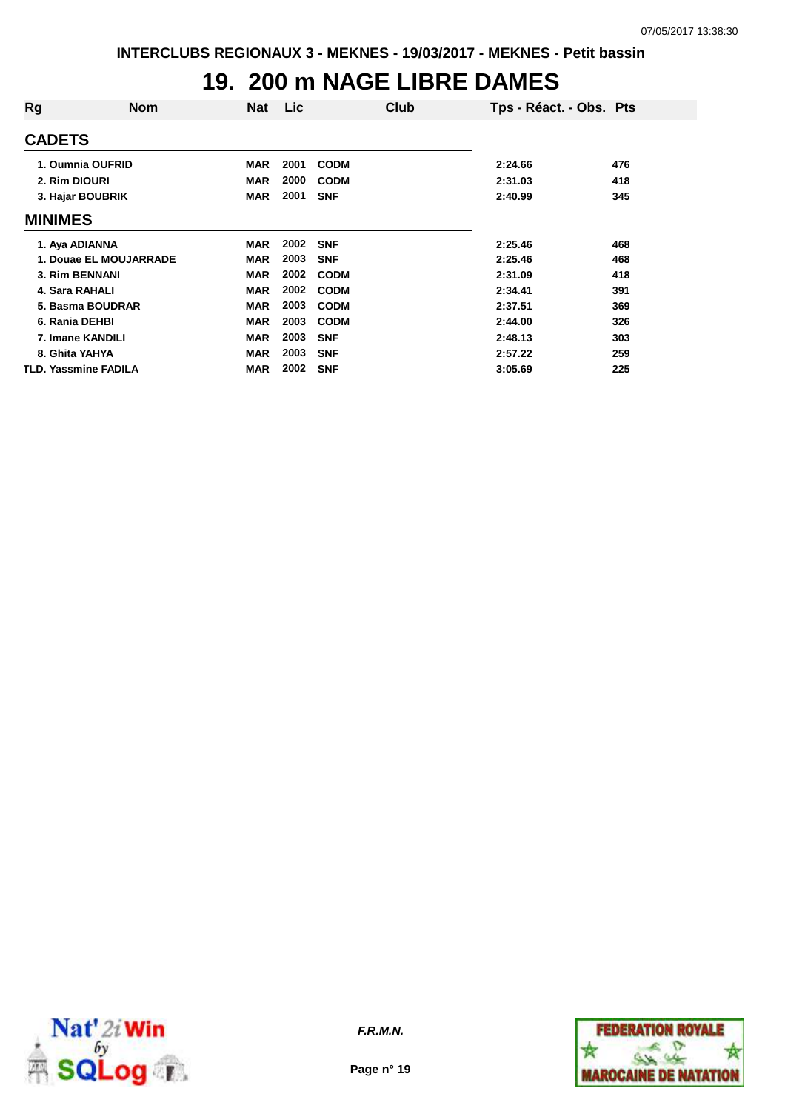### **19. 200 m NAGE LIBRE DAMES**

| Rg             | Nom                         | <b>Nat</b> | <b>Lic</b> | Club        | Tps - Réact. - Obs. Pts |     |
|----------------|-----------------------------|------------|------------|-------------|-------------------------|-----|
| <b>CADETS</b>  |                             |            |            |             |                         |     |
|                | 1. Oumnia OUFRID            | <b>MAR</b> | 2001       | <b>CODM</b> | 2:24.66                 | 476 |
| 2. Rim DIOURI  |                             | <b>MAR</b> | 2000       | <b>CODM</b> | 2:31.03                 | 418 |
|                | 3. Hajar BOUBRIK            | <b>MAR</b> | 2001       | <b>SNF</b>  | 2:40.99                 | 345 |
| <b>MINIMES</b> |                             |            |            |             |                         |     |
| 1. Aya ADIANNA |                             | <b>MAR</b> | 2002       | <b>SNF</b>  | 2:25.46                 | 468 |
|                | 1. Douae EL MOUJARRADE      | <b>MAR</b> | 2003       | <b>SNF</b>  | 2:25.46                 | 468 |
|                | 3. Rim BENNANI              | <b>MAR</b> | 2002       | <b>CODM</b> | 2:31.09                 | 418 |
| 4. Sara RAHALI |                             | <b>MAR</b> | 2002       | <b>CODM</b> | 2:34.41                 | 391 |
|                | 5. Basma BOUDRAR            | <b>MAR</b> | 2003       | <b>CODM</b> | 2:37.51                 | 369 |
| 6. Rania DEHBI |                             | <b>MAR</b> | 2003       | <b>CODM</b> | 2:44.00                 | 326 |
|                | 7. Imane KANDILI            | <b>MAR</b> | 2003       | <b>SNF</b>  | 2:48.13                 | 303 |
| 8. Ghita YAHYA |                             | <b>MAR</b> | 2003       | <b>SNF</b>  | 2:57.22                 | 259 |
|                | <b>TLD. Yassmine FADILA</b> | <b>MAR</b> | 2002       | <b>SNF</b>  | 3:05.69                 | 225 |



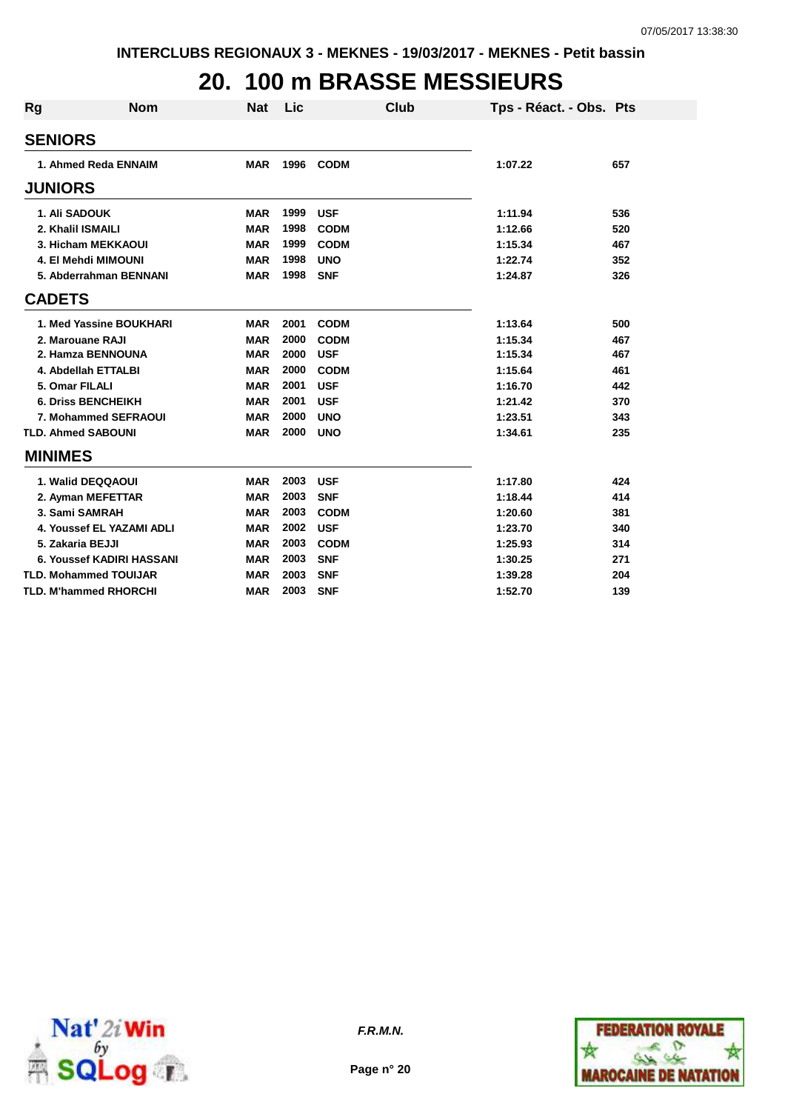### **20. 100 m BRASSE MESSIEURS**

| <b>Rg</b> | <b>Nom</b>                   | <b>Nat</b> | Lic  | <b>Club</b> | Tps - Réact. - Obs. Pts |     |
|-----------|------------------------------|------------|------|-------------|-------------------------|-----|
|           | <b>SENIORS</b>               |            |      |             |                         |     |
|           | 1. Ahmed Reda ENNAIM         | <b>MAR</b> | 1996 | <b>CODM</b> | 1:07.22                 | 657 |
|           | <b>JUNIORS</b>               |            |      |             |                         |     |
|           | 1. Ali SADOUK                | <b>MAR</b> | 1999 | <b>USF</b>  | 1:11.94                 | 536 |
|           | 2. Khalil ISMAILI            | <b>MAR</b> | 1998 | <b>CODM</b> | 1:12.66                 | 520 |
|           | 3. Hicham MEKKAOUI           | <b>MAR</b> | 1999 | <b>CODM</b> | 1:15.34                 | 467 |
|           | 4. El Mehdi MIMOUNI          | <b>MAR</b> | 1998 | <b>UNO</b>  | 1:22.74                 | 352 |
|           | 5. Abderrahman BENNANI       | <b>MAR</b> | 1998 | <b>SNF</b>  | 1:24.87                 | 326 |
|           | <b>CADETS</b>                |            |      |             |                         |     |
|           | 1. Med Yassine BOUKHARI      | <b>MAR</b> | 2001 | <b>CODM</b> | 1:13.64                 | 500 |
|           | 2. Marouane RAJI             | <b>MAR</b> | 2000 | <b>CODM</b> | 1:15.34                 | 467 |
|           | 2. Hamza BENNOUNA            | <b>MAR</b> | 2000 | <b>USF</b>  | 1:15.34                 | 467 |
|           | 4. Abdellah ETTALBI          | <b>MAR</b> | 2000 | <b>CODM</b> | 1:15.64                 | 461 |
|           | 5. Omar FILALI               | <b>MAR</b> | 2001 | <b>USF</b>  | 1:16.70                 | 442 |
|           | <b>6. Driss BENCHEIKH</b>    | <b>MAR</b> | 2001 | <b>USF</b>  | 1:21.42                 | 370 |
|           | 7. Mohammed SEFRAOUI         | <b>MAR</b> | 2000 | <b>UNO</b>  | 1:23.51                 | 343 |
|           | <b>TLD. Ahmed SABOUNI</b>    | <b>MAR</b> | 2000 | <b>UNO</b>  | 1:34.61                 | 235 |
|           | <b>MINIMES</b>               |            |      |             |                         |     |
|           | 1. Walid DEQQAOUI            | <b>MAR</b> | 2003 | <b>USF</b>  | 1:17.80                 | 424 |
|           | 2. Ayman MEFETTAR            | <b>MAR</b> | 2003 | <b>SNF</b>  | 1:18.44                 | 414 |
|           | 3. Sami SAMRAH               | <b>MAR</b> | 2003 | <b>CODM</b> | 1:20.60                 | 381 |
|           | 4. Youssef EL YAZAMI ADLI    | <b>MAR</b> | 2002 | <b>USF</b>  | 1:23.70                 | 340 |
|           | 5. Zakaria BEJJI             | <b>MAR</b> | 2003 | <b>CODM</b> | 1:25.93                 | 314 |
|           | 6. Youssef KADIRI HASSANI    | <b>MAR</b> | 2003 | <b>SNF</b>  | 1:30.25                 | 271 |
|           | <b>TLD. Mohammed TOUIJAR</b> | <b>MAR</b> | 2003 | <b>SNF</b>  | 1:39.28                 | 204 |
|           | <b>TLD. M'hammed RHORCHI</b> | <b>MAR</b> | 2003 | <b>SNF</b>  | 1:52.70                 | 139 |





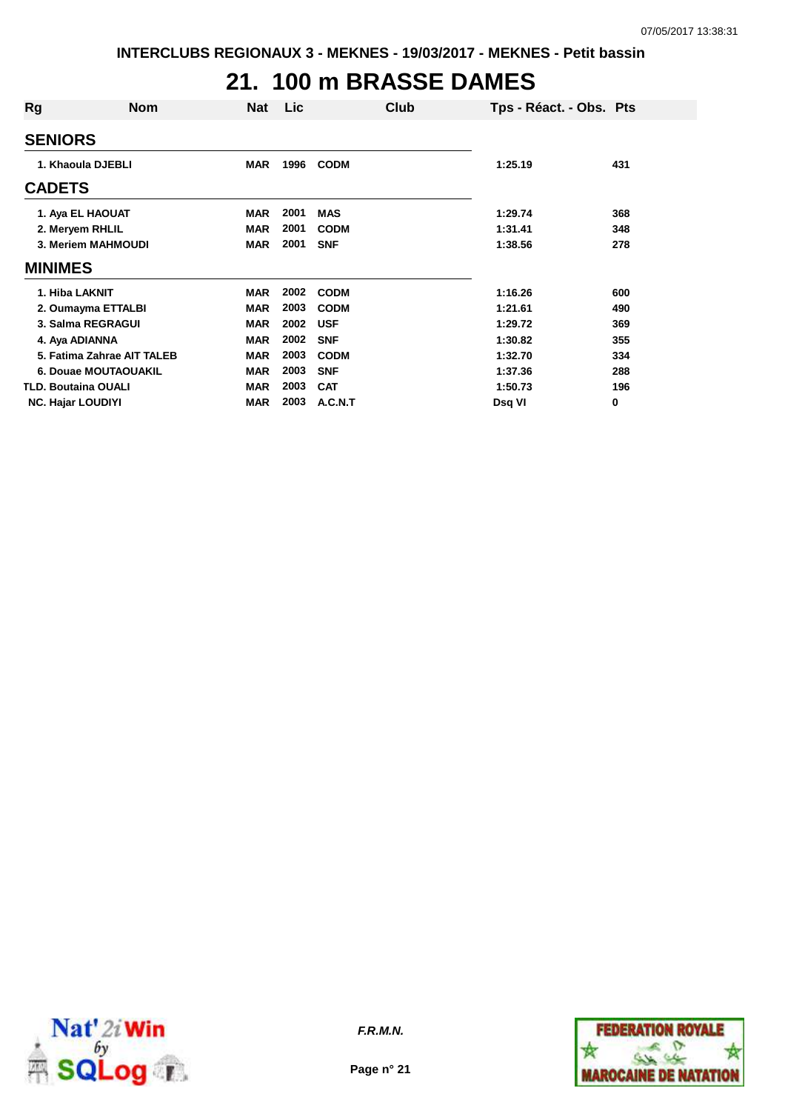# **21. 100 m BRASSE DAMES**

| Rg                         | <b>Nom</b> | Nat        | <b>Lic</b> | Club        | Tps - Réact. - Obs. Pts |     |
|----------------------------|------------|------------|------------|-------------|-------------------------|-----|
| <b>SENIORS</b>             |            |            |            |             |                         |     |
| 1. Khaoula DJEBLI          |            | <b>MAR</b> | 1996       | <b>CODM</b> | 1:25.19                 | 431 |
| <b>CADETS</b>              |            |            |            |             |                         |     |
| 1. Aya EL HAOUAT           |            | <b>MAR</b> | 2001       | <b>MAS</b>  | 1:29.74                 | 368 |
| 2. Meryem RHLIL            |            | <b>MAR</b> | 2001       | <b>CODM</b> | 1:31.41                 | 348 |
| 3. Meriem MAHMOUDI         |            | <b>MAR</b> | 2001       | <b>SNF</b>  | 1:38.56                 | 278 |
| <b>MINIMES</b>             |            |            |            |             |                         |     |
| 1. Hiba LAKNIT             |            | <b>MAR</b> | 2002       | <b>CODM</b> | 1:16.26                 | 600 |
| 2. Oumayma ETTALBI         |            | <b>MAR</b> | 2003       | <b>CODM</b> | 1:21.61                 | 490 |
| 3. Salma REGRAGUI          |            | <b>MAR</b> | 2002       | <b>USF</b>  | 1:29.72                 | 369 |
| 4. Aya ADIANNA             |            | <b>MAR</b> | 2002       | <b>SNF</b>  | 1:30.82                 | 355 |
| 5. Fatima Zahrae AIT TALEB |            | <b>MAR</b> | 2003       | <b>CODM</b> | 1:32.70                 | 334 |
| 6. Douae MOUTAOUAKIL       |            | <b>MAR</b> | 2003       | <b>SNF</b>  | 1:37.36                 | 288 |
| <b>TLD. Boutaina OUALI</b> |            | <b>MAR</b> | 2003       | <b>CAT</b>  | 1:50.73                 | 196 |
| <b>NC. Hajar LOUDIYI</b>   |            | <b>MAR</b> | 2003       | A.C.N.T     | Dsq VI                  | 0   |



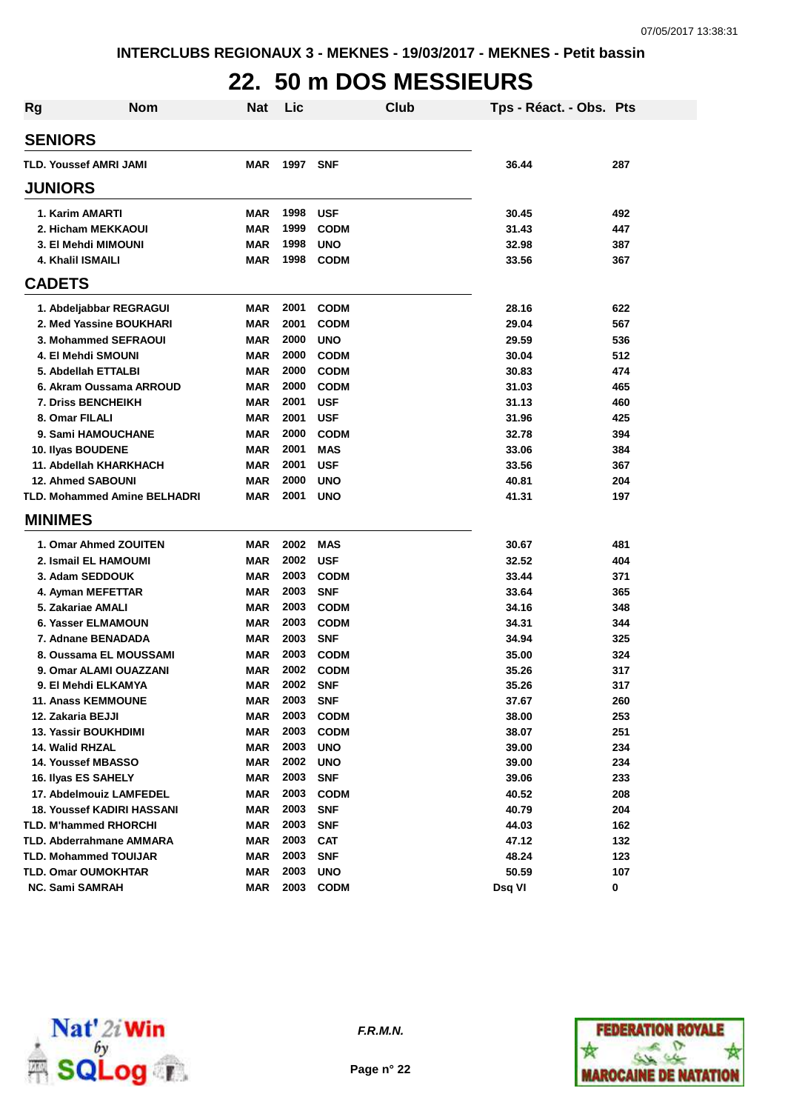# **22. 50 m DOS MESSIEURS**

| <b>Rg</b> | <b>Nom</b>                          | Nat        | Lic  | Club        | Tps - Réact. - Obs. Pts |     |
|-----------|-------------------------------------|------------|------|-------------|-------------------------|-----|
|           | <b>SENIORS</b>                      |            |      |             |                         |     |
|           | <b>TLD. Youssef AMRI JAMI</b>       | <b>MAR</b> | 1997 | <b>SNF</b>  | 36.44                   | 287 |
|           | <b>JUNIORS</b>                      |            |      |             |                         |     |
|           | 1. Karim AMARTI                     | MAR        | 1998 | <b>USF</b>  | 30.45                   | 492 |
|           | 2. Hicham MEKKAOUI                  | <b>MAR</b> | 1999 | <b>CODM</b> | 31.43                   | 447 |
|           | 3. El Mehdi MIMOUNI                 | <b>MAR</b> | 1998 | <b>UNO</b>  | 32.98                   | 387 |
|           | 4. Khalil ISMAILI                   | <b>MAR</b> | 1998 | <b>CODM</b> | 33.56                   | 367 |
|           | <b>CADETS</b>                       |            |      |             |                         |     |
|           | 1. Abdeljabbar REGRAGUI             | <b>MAR</b> | 2001 | <b>CODM</b> | 28.16                   | 622 |
|           | 2. Med Yassine BOUKHARI             | <b>MAR</b> | 2001 | <b>CODM</b> | 29.04                   | 567 |
|           | 3. Mohammed SEFRAOUI                | <b>MAR</b> | 2000 | <b>UNO</b>  | 29.59                   | 536 |
|           | 4. El Mehdi SMOUNI                  | <b>MAR</b> | 2000 | <b>CODM</b> | 30.04                   | 512 |
|           | 5. Abdellah ETTALBI                 | <b>MAR</b> | 2000 | <b>CODM</b> | 30.83                   | 474 |
|           | 6. Akram Oussama ARROUD             | <b>MAR</b> | 2000 | <b>CODM</b> | 31.03                   | 465 |
|           | <b>7. Driss BENCHEIKH</b>           | <b>MAR</b> | 2001 | <b>USF</b>  | 31.13                   | 460 |
|           | 8. Omar FILALI                      | <b>MAR</b> | 2001 | <b>USF</b>  | 31.96                   | 425 |
|           | 9. Sami HAMOUCHANE                  | <b>MAR</b> | 2000 | <b>CODM</b> | 32.78                   | 394 |
|           | 10. Ilyas BOUDENE                   | <b>MAR</b> | 2001 | <b>MAS</b>  | 33.06                   | 384 |
|           | 11. Abdellah KHARKHACH              | <b>MAR</b> | 2001 | <b>USF</b>  | 33.56                   | 367 |
|           | <b>12. Ahmed SABOUNI</b>            | <b>MAR</b> | 2000 | <b>UNO</b>  | 40.81                   | 204 |
|           | <b>TLD. Mohammed Amine BELHADRI</b> | <b>MAR</b> | 2001 | <b>UNO</b>  | 41.31                   | 197 |
|           | <b>MINIMES</b>                      |            |      |             |                         |     |
|           | 1. Omar Ahmed ZOUITEN               | <b>MAR</b> | 2002 | <b>MAS</b>  | 30.67                   | 481 |
|           | 2. Ismail EL HAMOUMI                | <b>MAR</b> | 2002 | <b>USF</b>  | 32.52                   | 404 |
|           | 3. Adam SEDDOUK                     | <b>MAR</b> | 2003 | <b>CODM</b> | 33.44                   | 371 |
|           | 4. Ayman MEFETTAR                   | <b>MAR</b> | 2003 | <b>SNF</b>  | 33.64                   | 365 |
|           | 5. Zakariae AMALI                   | <b>MAR</b> | 2003 | <b>CODM</b> | 34.16                   | 348 |
|           | 6. Yasser ELMAMOUN                  | <b>MAR</b> | 2003 | <b>CODM</b> | 34.31                   | 344 |
|           | 7. Adnane BENADADA                  | <b>MAR</b> | 2003 | <b>SNF</b>  | 34.94                   | 325 |
|           | 8. Oussama EL MOUSSAMI              | <b>MAR</b> | 2003 | <b>CODM</b> | 35.00                   | 324 |
|           | 9. Omar ALAMI OUAZZANI              | <b>MAR</b> | 2002 | <b>CODM</b> | 35.26                   | 317 |
|           | 9. El Mehdi ELKAMYA                 | MAR        | 2002 | <b>SNF</b>  | 35.26                   | 317 |
|           | 11. Anass KEMMOUNE                  | MAR        | 2003 | <b>SNF</b>  | 37.67                   | 260 |
|           | 12. Zakaria BEJJI                   | <b>MAR</b> | 2003 | <b>CODM</b> | 38.00                   | 253 |
|           | <b>13. Yassir BOUKHDIMI</b>         | <b>MAR</b> | 2003 | <b>CODM</b> | 38.07                   | 251 |
|           | 14. Walid RHZAL                     | <b>MAR</b> | 2003 | <b>UNO</b>  | 39.00                   | 234 |
|           | <b>14. Youssef MBASSO</b>           | <b>MAR</b> | 2002 | <b>UNO</b>  | 39.00                   | 234 |
|           | 16. Ilyas ES SAHELY                 | <b>MAR</b> | 2003 | <b>SNF</b>  | 39.06                   | 233 |
|           | 17. Abdelmouiz LAMFEDEL             | <b>MAR</b> | 2003 | <b>CODM</b> | 40.52                   | 208 |
|           | <b>18. Youssef KADIRI HASSANI</b>   | <b>MAR</b> | 2003 | <b>SNF</b>  | 40.79                   | 204 |
|           | <b>TLD. M'hammed RHORCHI</b>        | <b>MAR</b> | 2003 | <b>SNF</b>  | 44.03                   | 162 |
|           | <b>TLD. Abderrahmane AMMARA</b>     | <b>MAR</b> | 2003 | <b>CAT</b>  | 47.12                   | 132 |
|           | <b>TLD. Mohammed TOUIJAR</b>        | <b>MAR</b> | 2003 | <b>SNF</b>  | 48.24                   | 123 |
|           | <b>TLD. Omar OUMOKHTAR</b>          | <b>MAR</b> | 2003 | <b>UNO</b>  | 50.59                   | 107 |
|           | <b>NC. Sami SAMRAH</b>              | <b>MAR</b> | 2003 | <b>CODM</b> | Dsq VI                  | 0   |



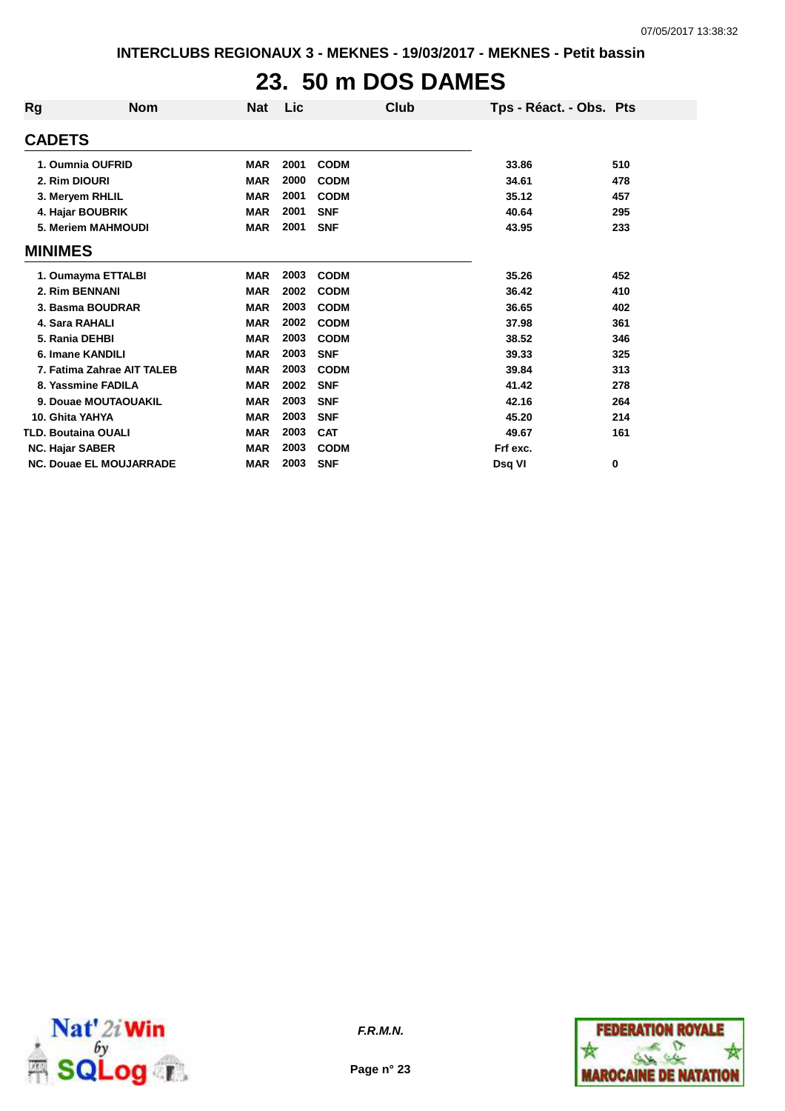# **23. 50 m DOS DAMES**

| Rg                         | <b>Nom</b>                     | <b>Nat</b> | Lic  |             | Club | Tps - Réact. - Obs. Pts |     |
|----------------------------|--------------------------------|------------|------|-------------|------|-------------------------|-----|
| <b>CADETS</b>              |                                |            |      |             |      |                         |     |
|                            | 1. Oumnia OUFRID               | <b>MAR</b> | 2001 | <b>CODM</b> |      | 33.86                   | 510 |
| 2. Rim DIOURI              |                                | <b>MAR</b> | 2000 | <b>CODM</b> |      | 34.61                   | 478 |
|                            | 3. Meryem RHLIL                | <b>MAR</b> | 2001 | <b>CODM</b> |      | 35.12                   | 457 |
|                            | 4. Hajar BOUBRIK               | <b>MAR</b> | 2001 | <b>SNF</b>  |      | 40.64                   | 295 |
|                            | 5. Meriem MAHMOUDI             | <b>MAR</b> | 2001 | <b>SNF</b>  |      | 43.95                   | 233 |
| <b>MINIMES</b>             |                                |            |      |             |      |                         |     |
|                            | 1. Oumayma ETTALBI             | <b>MAR</b> | 2003 | <b>CODM</b> |      | 35.26                   | 452 |
| 2. Rim BENNANI             |                                | <b>MAR</b> | 2002 | <b>CODM</b> |      | 36.42                   | 410 |
|                            | 3. Basma BOUDRAR               | <b>MAR</b> | 2003 | <b>CODM</b> |      | 36.65                   | 402 |
| 4. Sara RAHALI             |                                | <b>MAR</b> | 2002 | <b>CODM</b> |      | 37.98                   | 361 |
| 5. Rania DEHBI             |                                | <b>MAR</b> | 2003 | <b>CODM</b> |      | 38.52                   | 346 |
|                            | 6. Imane KANDILI               | <b>MAR</b> | 2003 | <b>SNF</b>  |      | 39.33                   | 325 |
|                            | 7. Fatima Zahrae AIT TALEB     | <b>MAR</b> | 2003 | <b>CODM</b> |      | 39.84                   | 313 |
|                            | 8. Yassmine FADILA             | <b>MAR</b> | 2002 | <b>SNF</b>  |      | 41.42                   | 278 |
|                            | 9. Douae MOUTAOUAKIL           | <b>MAR</b> | 2003 | <b>SNF</b>  |      | 42.16                   | 264 |
| 10. Ghita YAHYA            |                                | <b>MAR</b> | 2003 | <b>SNF</b>  |      | 45.20                   | 214 |
| <b>TLD. Boutaina OUALI</b> |                                | <b>MAR</b> | 2003 | <b>CAT</b>  |      | 49.67                   | 161 |
| <b>NC. Hajar SABER</b>     |                                | <b>MAR</b> | 2003 | <b>CODM</b> |      | Frf exc.                |     |
|                            | <b>NC. Douae EL MOUJARRADE</b> | <b>MAR</b> | 2003 | <b>SNF</b>  |      | Dsq VI                  | 0   |



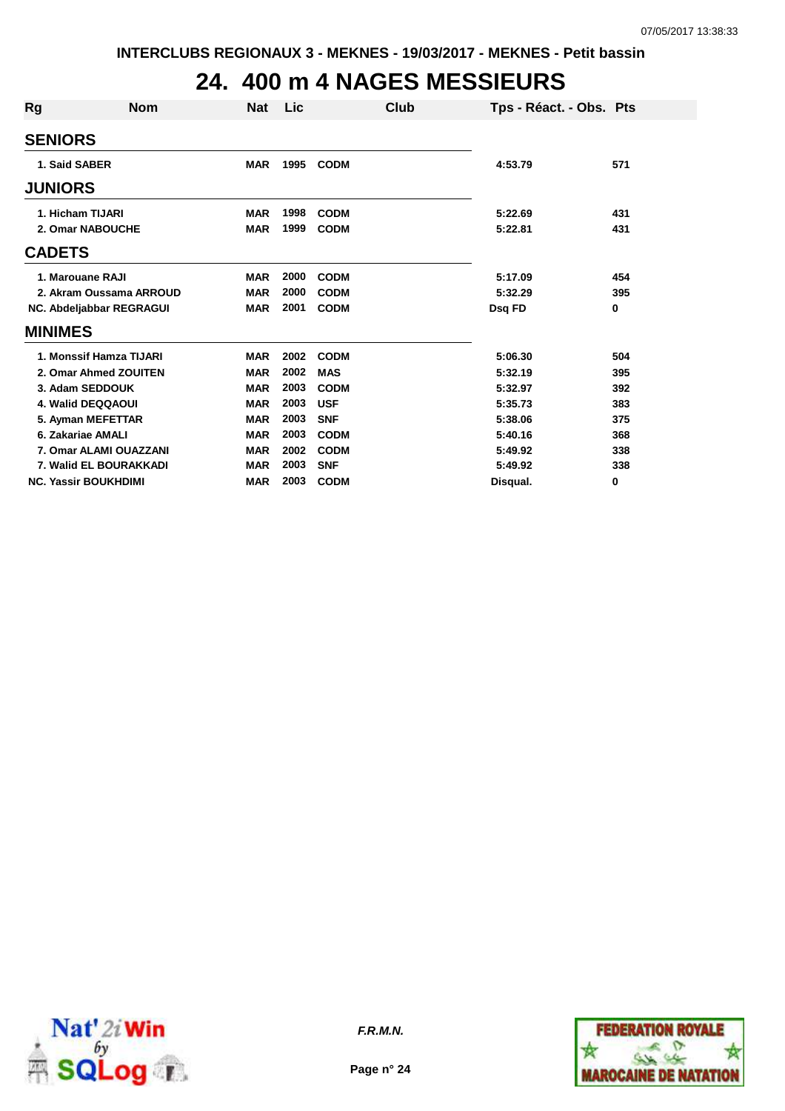### **24. 400 m 4 NAGES MESSIEURS**

| Rg             | <b>Nom</b>                  | Nat        | Lic  | Club        | Tps - Réact. - Obs. Pts |     |
|----------------|-----------------------------|------------|------|-------------|-------------------------|-----|
| <b>SENIORS</b> |                             |            |      |             |                         |     |
|                | 1. Said SABER               | <b>MAR</b> | 1995 | <b>CODM</b> | 4:53.79                 | 571 |
| <b>JUNIORS</b> |                             |            |      |             |                         |     |
|                | 1. Hicham TIJARI            | <b>MAR</b> | 1998 | <b>CODM</b> | 5:22.69                 | 431 |
|                | 2. Omar NABOUCHE            | <b>MAR</b> | 1999 | <b>CODM</b> | 5:22.81                 | 431 |
| <b>CADETS</b>  |                             |            |      |             |                         |     |
|                | 1. Marouane RAJI            | <b>MAR</b> | 2000 | <b>CODM</b> | 5:17.09                 | 454 |
|                | 2. Akram Oussama ARROUD     | <b>MAR</b> | 2000 | <b>CODM</b> | 5:32.29                 | 395 |
|                | NC. Abdeljabbar REGRAGUI    | <b>MAR</b> | 2001 | <b>CODM</b> | Dsq FD                  | 0   |
| <b>MINIMES</b> |                             |            |      |             |                         |     |
|                | 1. Monssif Hamza TIJARI     | <b>MAR</b> | 2002 | <b>CODM</b> | 5:06.30                 | 504 |
|                | 2. Omar Ahmed ZOUITEN       | <b>MAR</b> | 2002 | <b>MAS</b>  | 5:32.19                 | 395 |
|                | 3. Adam SEDDOUK             | <b>MAR</b> | 2003 | <b>CODM</b> | 5:32.97                 | 392 |
|                | 4. Walid DEQQAOUI           | <b>MAR</b> | 2003 | <b>USF</b>  | 5:35.73                 | 383 |
|                | 5. Ayman MEFETTAR           | <b>MAR</b> | 2003 | <b>SNF</b>  | 5:38.06                 | 375 |
|                | 6. Zakariae AMALI           | <b>MAR</b> | 2003 | <b>CODM</b> | 5:40.16                 | 368 |
|                | 7. Omar ALAMI OUAZZANI      | <b>MAR</b> | 2002 | <b>CODM</b> | 5:49.92                 | 338 |
|                | 7. Walid EL BOURAKKADI      | <b>MAR</b> | 2003 | <b>SNF</b>  | 5:49.92                 | 338 |
|                | <b>NC. Yassir BOUKHDIMI</b> | <b>MAR</b> | 2003 | <b>CODM</b> | Disqual.                | 0   |



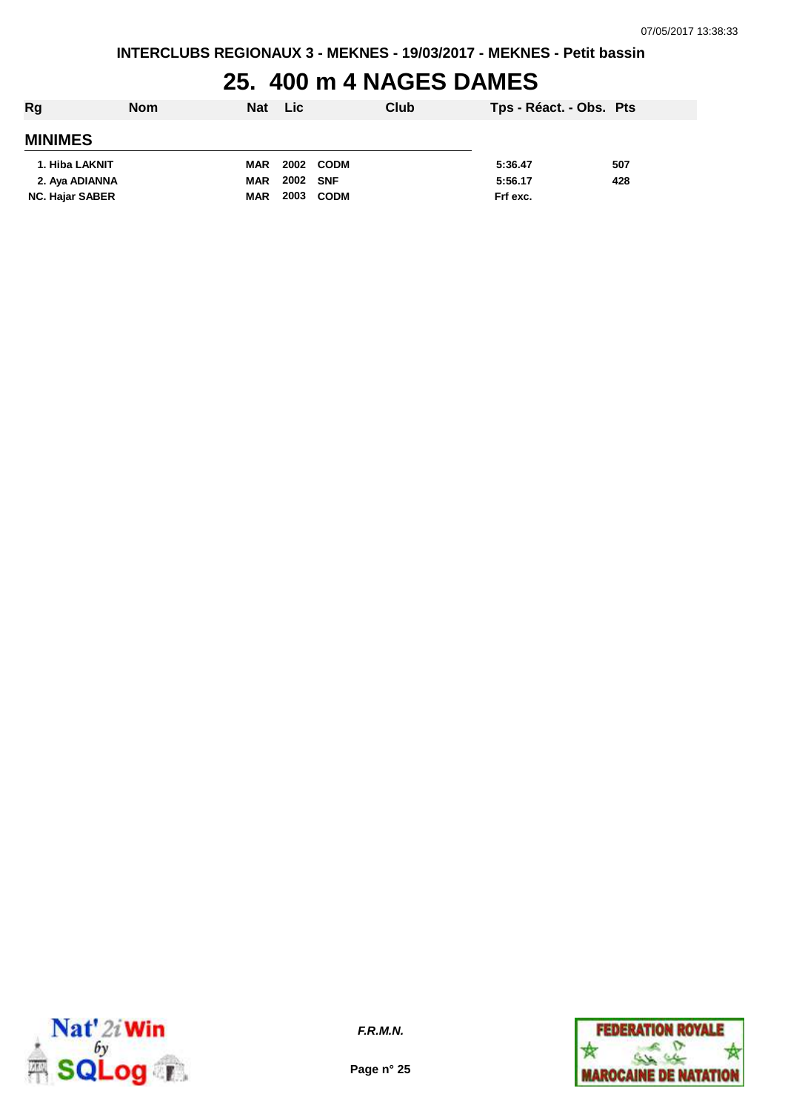#### **25. 400 m 4 NAGES DAMES**

| Rg                     | <b>Nom</b> | <b>Nat</b> | <b>Lic</b> |             | Club | Tps - Réact. - Obs. Pts |     |
|------------------------|------------|------------|------------|-------------|------|-------------------------|-----|
| <b>MINIMES</b>         |            |            |            |             |      |                         |     |
| 1. Hiba LAKNIT         |            | <b>MAR</b> | 2002       | CODM        |      | 5:36.47                 | 507 |
| 2. Aya ADIANNA         |            | <b>MAR</b> | 2002 SNF   |             |      | 5:56.17                 | 428 |
| <b>NC. Hajar SABER</b> |            | <b>MAR</b> | 2003       | <b>CODM</b> |      | Frf exc.                |     |



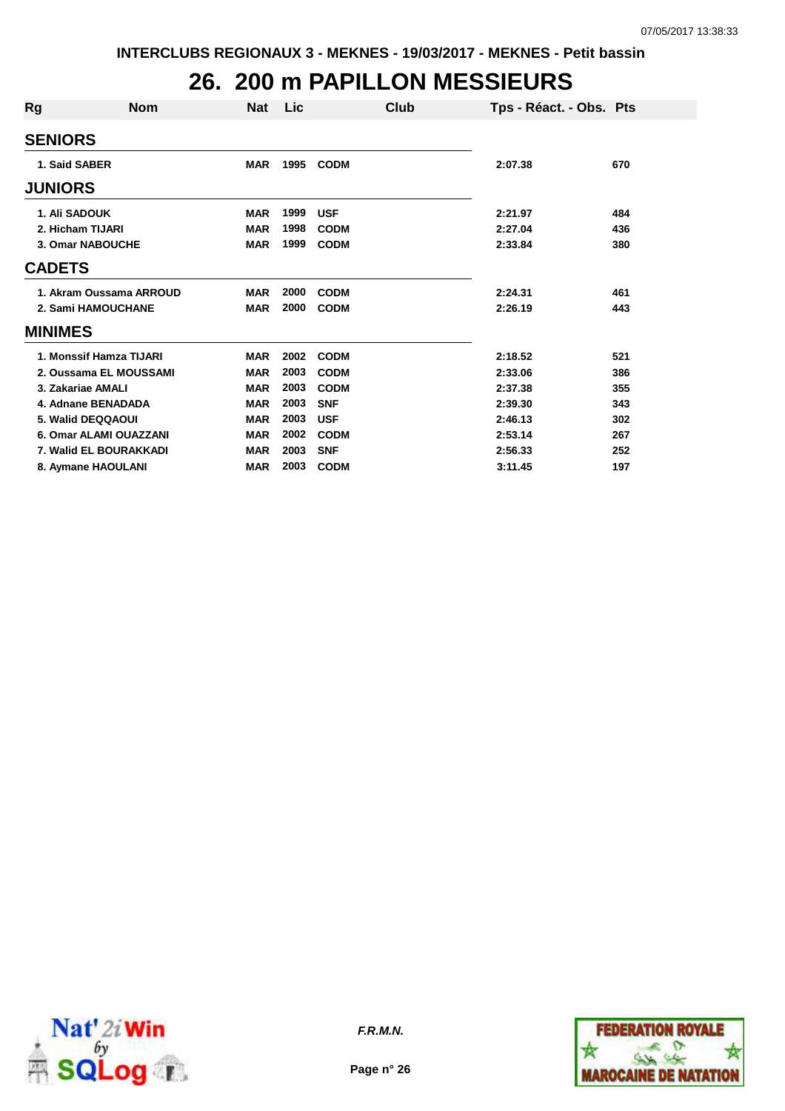### **26. 200 m PAPILLON MESSIEURS**

| Rg               | <b>Nom</b>              | Nat        | <b>Lic</b> |             | Club | Tps - Réact. - Obs. Pts |     |
|------------------|-------------------------|------------|------------|-------------|------|-------------------------|-----|
| <b>SENIORS</b>   |                         |            |            |             |      |                         |     |
| 1. Said SABER    |                         | <b>MAR</b> | 1995       | <b>CODM</b> |      | 2:07.38                 | 670 |
| <b>JUNIORS</b>   |                         |            |            |             |      |                         |     |
| 1. Ali SADOUK    |                         | <b>MAR</b> | 1999       | <b>USF</b>  |      | 2:21.97                 | 484 |
| 2. Hicham TIJARI |                         | <b>MAR</b> | 1998       | <b>CODM</b> |      | 2:27.04                 | 436 |
|                  | 3. Omar NABOUCHE        | <b>MAR</b> | 1999       | <b>CODM</b> |      | 2:33.84                 | 380 |
| <b>CADETS</b>    |                         |            |            |             |      |                         |     |
|                  | 1. Akram Oussama ARROUD | <b>MAR</b> | 2000       | <b>CODM</b> |      | 2:24.31                 | 461 |
|                  | 2. Sami HAMOUCHANE      | <b>MAR</b> | 2000       | <b>CODM</b> |      | 2:26.19                 | 443 |
| <b>MINIMES</b>   |                         |            |            |             |      |                         |     |
|                  | 1. Monssif Hamza TIJARI | <b>MAR</b> | 2002       | <b>CODM</b> |      | 2:18.52                 | 521 |
|                  | 2. Oussama EL MOUSSAMI  | <b>MAR</b> | 2003       | <b>CODM</b> |      | 2:33.06                 | 386 |
|                  | 3. Zakariae AMALI       | <b>MAR</b> | 2003       | <b>CODM</b> |      | 2:37.38                 | 355 |
|                  | 4. Adnane BENADADA      | <b>MAR</b> | 2003       | <b>SNF</b>  |      | 2:39.30                 | 343 |
|                  | 5. Walid DEQQAOUI       | <b>MAR</b> | 2003       | <b>USF</b>  |      | 2:46.13                 | 302 |
|                  | 6. Omar ALAMI OUAZZANI  | <b>MAR</b> | 2002       | <b>CODM</b> |      | 2:53.14                 | 267 |
|                  | 7. Walid EL BOURAKKADI  | <b>MAR</b> | 2003       | <b>SNF</b>  |      | 2:56.33                 | 252 |
|                  | 8. Aymane HAOULANI      | <b>MAR</b> | 2003       | <b>CODM</b> |      | 3:11.45                 | 197 |



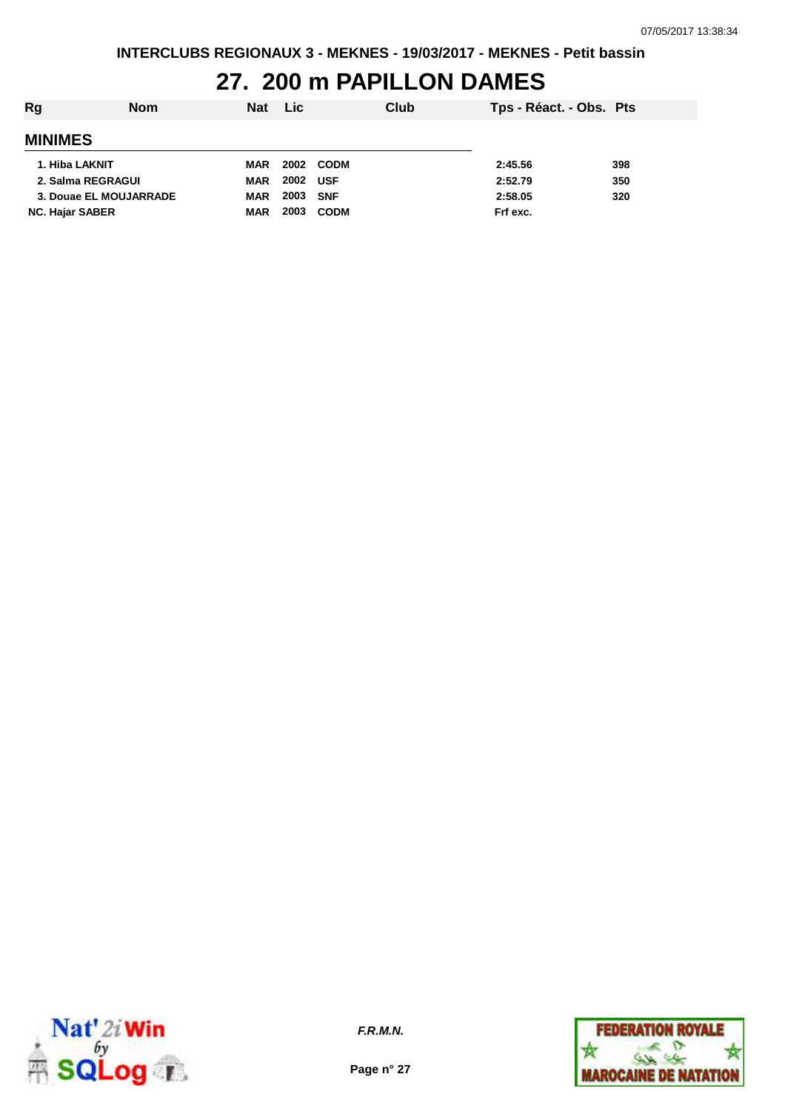#### **27. 200 m PAPILLON DAMES**

| Rg                     | <b>Nom</b> | <b>Nat</b> | <b>Lic</b> |             | Club | Tps - Réact. - Obs. Pts |     |
|------------------------|------------|------------|------------|-------------|------|-------------------------|-----|
| <b>MINIMES</b>         |            |            |            |             |      |                         |     |
| 1. Hiba LAKNIT         |            | MAR        | 2002       | <b>CODM</b> |      | 2:45.56                 | 398 |
| 2. Salma REGRAGUI      |            | MAR        | 2002       | <b>USF</b>  |      | 2:52.79                 | 350 |
| 3. Douae EL MOUJARRADE |            | <b>MAR</b> | 2003       | <b>SNF</b>  |      | 2:58.05                 | 320 |
| <b>NC. Hajar SABER</b> |            | <b>MAR</b> | 2003       | <b>CODM</b> |      | Frf exc.                |     |



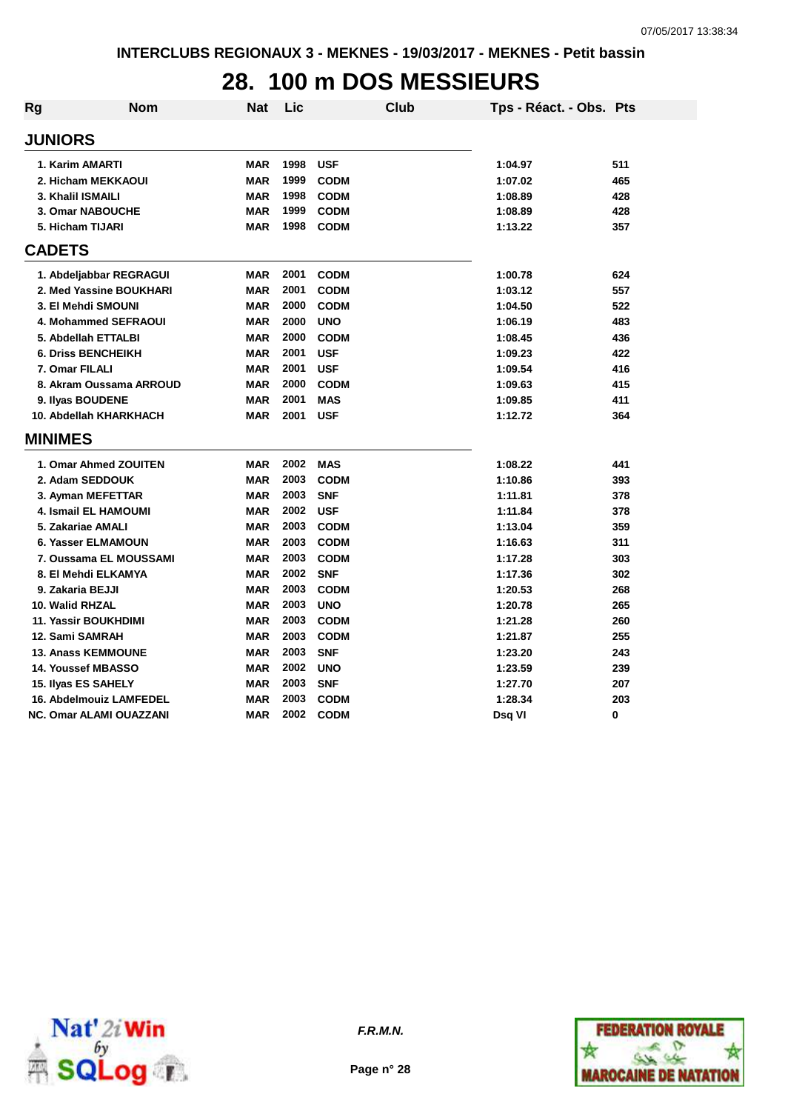## **28. 100 m DOS MESSIEURS**

| Rg             | Nom                            | <b>Nat</b> | Lic  | <b>Club</b> | Tps - Réact. - Obs. Pts |     |
|----------------|--------------------------------|------------|------|-------------|-------------------------|-----|
| <b>JUNIORS</b> |                                |            |      |             |                         |     |
|                | 1. Karim AMARTI                | <b>MAR</b> | 1998 | <b>USF</b>  | 1:04.97                 | 511 |
|                | 2. Hicham MEKKAOUI             | <b>MAR</b> | 1999 | <b>CODM</b> | 1:07.02                 | 465 |
|                | 3. Khalil ISMAILI              | <b>MAR</b> | 1998 | <b>CODM</b> | 1:08.89                 | 428 |
|                | 3. Omar NABOUCHE               | <b>MAR</b> | 1999 | <b>CODM</b> | 1:08.89                 | 428 |
|                | 5. Hicham TIJARI               | <b>MAR</b> | 1998 | <b>CODM</b> | 1:13.22                 | 357 |
| <b>CADETS</b>  |                                |            |      |             |                         |     |
|                | 1. Abdeljabbar REGRAGUI        | <b>MAR</b> | 2001 | <b>CODM</b> | 1:00.78                 | 624 |
|                | 2. Med Yassine BOUKHARI        | <b>MAR</b> | 2001 | <b>CODM</b> | 1:03.12                 | 557 |
|                | 3. El Mehdi SMOUNI             | <b>MAR</b> | 2000 | <b>CODM</b> | 1:04.50                 | 522 |
|                | 4. Mohammed SEFRAOUI           | <b>MAR</b> | 2000 | <b>UNO</b>  | 1:06.19                 | 483 |
|                | 5. Abdellah ETTALBI            | <b>MAR</b> | 2000 | <b>CODM</b> | 1:08.45                 | 436 |
|                | <b>6. Driss BENCHEIKH</b>      | <b>MAR</b> | 2001 | <b>USF</b>  | 1:09.23                 | 422 |
|                | 7. Omar FILALI                 | <b>MAR</b> | 2001 | <b>USF</b>  | 1:09.54                 | 416 |
|                | 8. Akram Oussama ARROUD        | <b>MAR</b> | 2000 | <b>CODM</b> | 1:09.63                 | 415 |
|                | 9. Ilyas BOUDENE               | <b>MAR</b> | 2001 | <b>MAS</b>  | 1:09.85                 | 411 |
|                | 10. Abdellah KHARKHACH         | <b>MAR</b> | 2001 | <b>USF</b>  | 1:12.72                 | 364 |
| <b>MINIMES</b> |                                |            |      |             |                         |     |
|                | 1. Omar Ahmed ZOUITEN          | <b>MAR</b> | 2002 | <b>MAS</b>  | 1:08.22                 | 441 |
|                | 2. Adam SEDDOUK                | <b>MAR</b> | 2003 | <b>CODM</b> | 1:10.86                 | 393 |
|                | 3. Ayman MEFETTAR              | <b>MAR</b> | 2003 | <b>SNF</b>  | 1:11.81                 | 378 |
|                | <b>4. Ismail EL HAMOUMI</b>    | <b>MAR</b> | 2002 | <b>USF</b>  | 1:11.84                 | 378 |
|                | 5. Zakariae AMALI              | <b>MAR</b> | 2003 | <b>CODM</b> | 1:13.04                 | 359 |
|                | 6. Yasser ELMAMOUN             | <b>MAR</b> | 2003 | <b>CODM</b> | 1:16.63                 | 311 |
|                | 7. Oussama EL MOUSSAMI         | <b>MAR</b> | 2003 | <b>CODM</b> | 1:17.28                 | 303 |
|                | 8. El Mehdi ELKAMYA            | <b>MAR</b> | 2002 | <b>SNF</b>  | 1:17.36                 | 302 |
|                | 9. Zakaria BEJJI               | <b>MAR</b> | 2003 | <b>CODM</b> | 1:20.53                 | 268 |
|                | 10. Walid RHZAL                | <b>MAR</b> | 2003 | <b>UNO</b>  | 1:20.78                 | 265 |
|                | <b>11. Yassir BOUKHDIMI</b>    | <b>MAR</b> | 2003 | <b>CODM</b> | 1:21.28                 | 260 |
|                | 12. Sami SAMRAH                | <b>MAR</b> | 2003 | <b>CODM</b> | 1:21.87                 | 255 |
|                | <b>13. Anass KEMMOUNE</b>      | <b>MAR</b> | 2003 | <b>SNF</b>  | 1:23.20                 | 243 |
|                | <b>14. Youssef MBASSO</b>      | <b>MAR</b> | 2002 | <b>UNO</b>  | 1:23.59                 | 239 |
|                | 15. Ilyas ES SAHELY            | <b>MAR</b> | 2003 | <b>SNF</b>  | 1:27.70                 | 207 |
|                | 16. Abdelmouiz LAMFEDEL        | <b>MAR</b> | 2003 | <b>CODM</b> | 1:28.34                 | 203 |
|                | <b>NC. Omar ALAMI OUAZZANI</b> | <b>MAR</b> | 2002 | <b>CODM</b> | Dsg VI                  | 0   |



**F.R.M.N.**

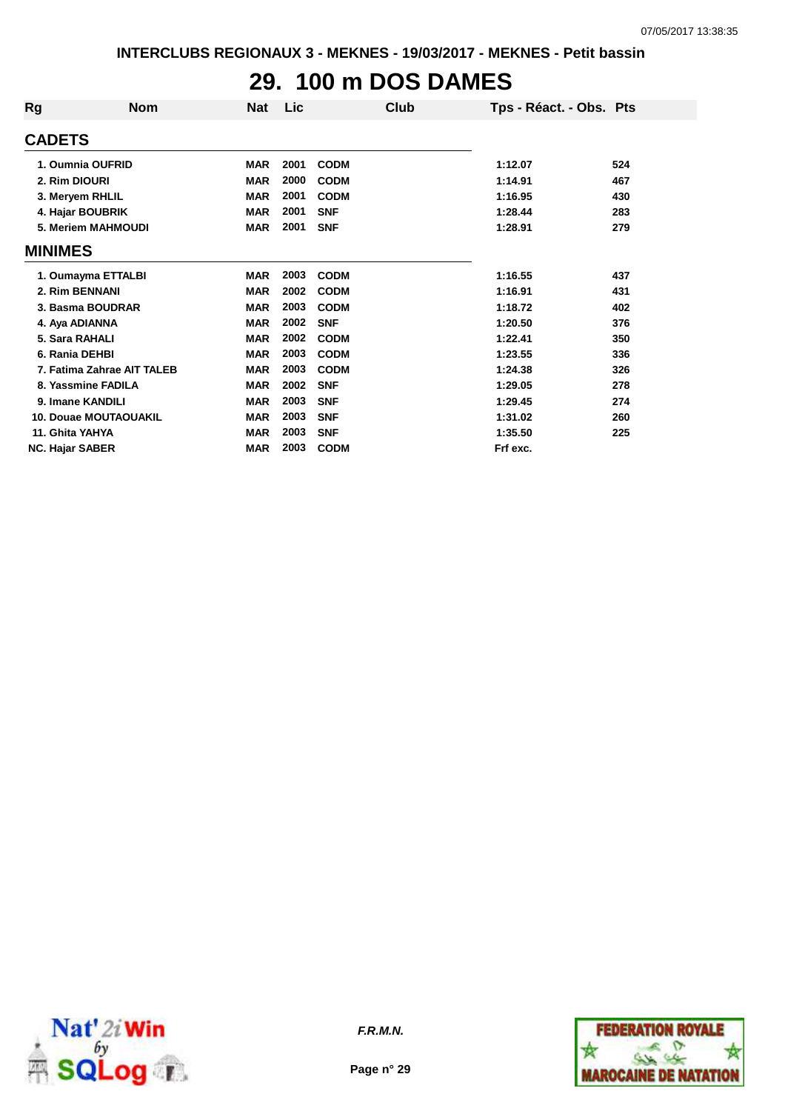# **29. 100 m DOS DAMES**

| Rg                     | <b>Nom</b>                   | Nat        | Lic  | Club        | Tps - Réact. - Obs. Pts |     |
|------------------------|------------------------------|------------|------|-------------|-------------------------|-----|
| <b>CADETS</b>          |                              |            |      |             |                         |     |
|                        | 1. Oumnia OUFRID             | <b>MAR</b> | 2001 | <b>CODM</b> | 1:12.07                 | 524 |
| 2. Rim DIOURI          |                              | <b>MAR</b> | 2000 | <b>CODM</b> | 1:14.91                 | 467 |
|                        | 3. Meryem RHLIL              | <b>MAR</b> | 2001 | <b>CODM</b> | 1:16.95                 | 430 |
|                        | 4. Hajar BOUBRIK             | <b>MAR</b> | 2001 | <b>SNF</b>  | 1:28.44                 | 283 |
|                        | 5. Meriem MAHMOUDI           | <b>MAR</b> | 2001 | <b>SNF</b>  | 1:28.91                 | 279 |
| <b>MINIMES</b>         |                              |            |      |             |                         |     |
|                        | 1. Oumayma ETTALBI           | <b>MAR</b> | 2003 | <b>CODM</b> | 1:16.55                 | 437 |
| 2. Rim BENNANI         |                              | <b>MAR</b> | 2002 | <b>CODM</b> | 1:16.91                 | 431 |
|                        | 3. Basma BOUDRAR             | <b>MAR</b> | 2003 | <b>CODM</b> | 1:18.72                 | 402 |
| 4. Aya ADIANNA         |                              | <b>MAR</b> | 2002 | <b>SNF</b>  | 1:20.50                 | 376 |
| 5. Sara RAHALI         |                              | <b>MAR</b> | 2002 | <b>CODM</b> | 1:22.41                 | 350 |
| 6. Rania DEHBI         |                              | <b>MAR</b> | 2003 | <b>CODM</b> | 1:23.55                 | 336 |
|                        | 7. Fatima Zahrae AIT TALEB   | <b>MAR</b> | 2003 | <b>CODM</b> | 1:24.38                 | 326 |
|                        | 8. Yassmine FADILA           | <b>MAR</b> | 2002 | <b>SNF</b>  | 1:29.05                 | 278 |
|                        | 9. Imane KANDILI             | <b>MAR</b> | 2003 | <b>SNF</b>  | 1:29.45                 | 274 |
|                        | <b>10. Douae MOUTAOUAKIL</b> | <b>MAR</b> | 2003 | <b>SNF</b>  | 1:31.02                 | 260 |
| 11. Ghita YAHYA        |                              | <b>MAR</b> | 2003 | <b>SNF</b>  | 1:35.50                 | 225 |
| <b>NC. Hajar SABER</b> |                              | <b>MAR</b> | 2003 | <b>CODM</b> | Frf exc.                |     |



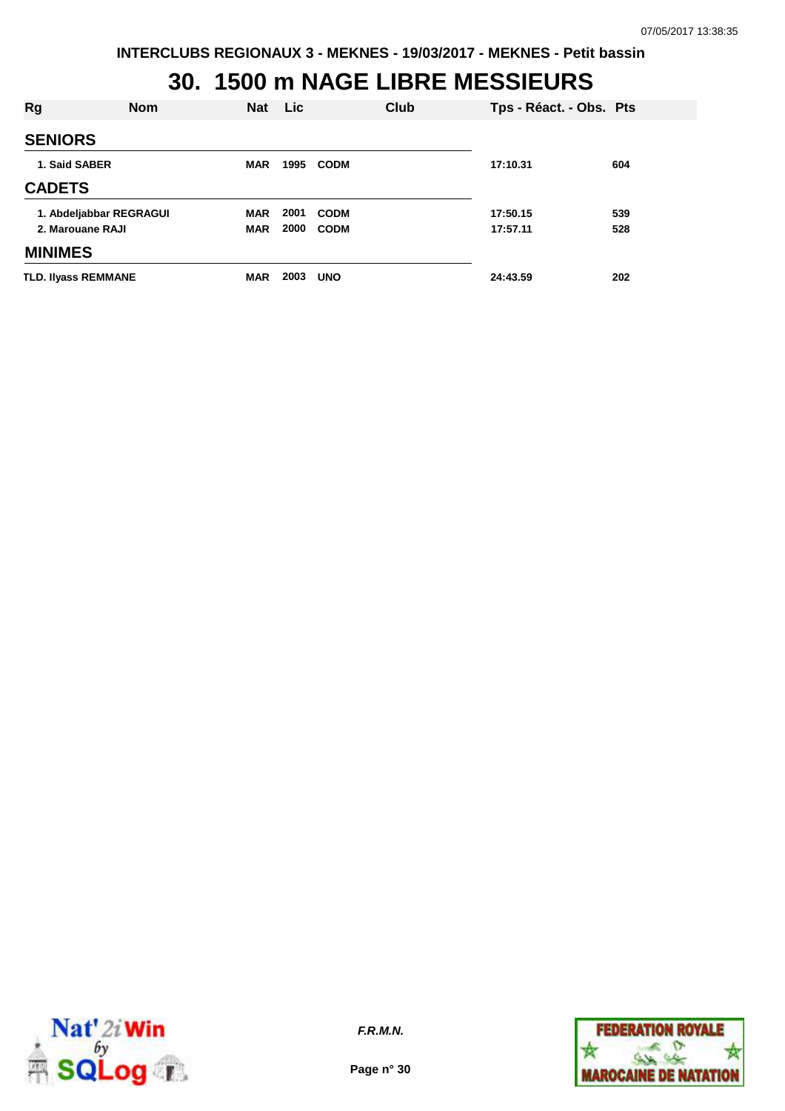#### **30. 1500 m NAGE LIBRE MESSIEURS**

| Rg                                          | <b>Nom</b> | <b>Nat</b>               | <b>Lic</b>   | Club                       | Tps - Réact. - Obs. Pts |            |
|---------------------------------------------|------------|--------------------------|--------------|----------------------------|-------------------------|------------|
| <b>SENIORS</b>                              |            |                          |              |                            |                         |            |
| 1. Said SABER                               |            | <b>MAR</b>               | 1995         | <b>CODM</b>                | 17:10.31                | 604        |
| <b>CADETS</b>                               |            |                          |              |                            |                         |            |
| 1. Abdeljabbar REGRAGUI<br>2. Marouane RAJI |            | <b>MAR</b><br><b>MAR</b> | 2001<br>2000 | <b>CODM</b><br><b>CODM</b> | 17:50.15<br>17:57.11    | 539<br>528 |
| <b>MINIMES</b>                              |            |                          |              |                            |                         |            |
| <b>TLD. Ilyass REMMANE</b>                  |            | <b>MAR</b>               | 2003         | <b>UNO</b>                 | 24:43.59                | 202        |



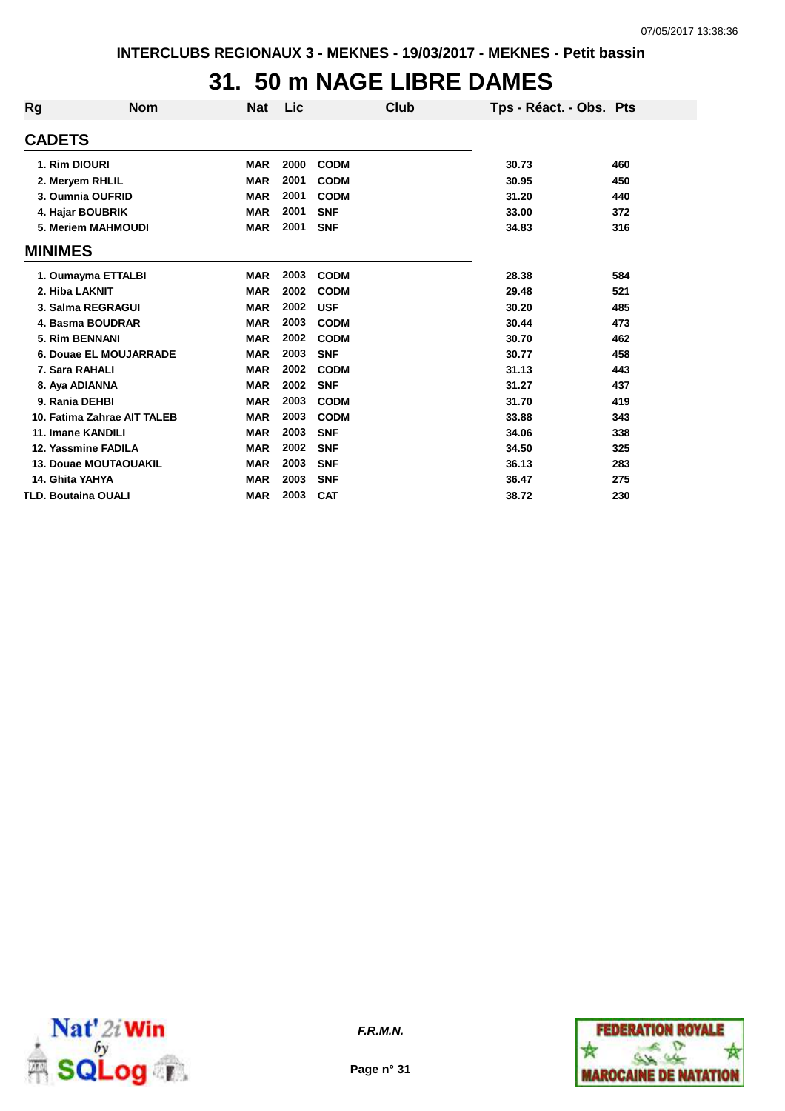#### **31. 50 m NAGE LIBRE DAMES**

| Rg             | <b>Nom</b>                   | <b>Nat</b> | Lic  | Club        | Tps - Réact. - Obs. Pts |     |
|----------------|------------------------------|------------|------|-------------|-------------------------|-----|
| <b>CADETS</b>  |                              |            |      |             |                         |     |
|                | 1. Rim DIOURI                | <b>MAR</b> | 2000 | <b>CODM</b> | 30.73                   | 460 |
|                | 2. Meryem RHLIL              | <b>MAR</b> | 2001 | <b>CODM</b> | 30.95                   | 450 |
|                | 3. Oumnia OUFRID             | <b>MAR</b> | 2001 | <b>CODM</b> | 31.20                   | 440 |
|                | 4. Hajar BOUBRIK             | <b>MAR</b> | 2001 | <b>SNF</b>  | 33.00                   | 372 |
|                | 5. Meriem MAHMOUDI           | <b>MAR</b> | 2001 | <b>SNF</b>  | 34.83                   | 316 |
| <b>MINIMES</b> |                              |            |      |             |                         |     |
|                | 1. Oumayma ETTALBI           | <b>MAR</b> | 2003 | <b>CODM</b> | 28.38                   | 584 |
|                | 2. Hiba LAKNIT               | <b>MAR</b> | 2002 | <b>CODM</b> | 29.48                   | 521 |
|                | 3. Salma REGRAGUI            | <b>MAR</b> | 2002 | <b>USF</b>  | 30.20                   | 485 |
|                | 4. Basma BOUDRAR             | <b>MAR</b> | 2003 | <b>CODM</b> | 30.44                   | 473 |
|                | 5. Rim BENNANI               | <b>MAR</b> | 2002 | <b>CODM</b> | 30.70                   | 462 |
|                | 6. Douae EL MOUJARRADE       | <b>MAR</b> | 2003 | <b>SNF</b>  | 30.77                   | 458 |
|                | 7. Sara RAHALI               | <b>MAR</b> | 2002 | <b>CODM</b> | 31.13                   | 443 |
|                | 8. Aya ADIANNA               | <b>MAR</b> | 2002 | <b>SNF</b>  | 31.27                   | 437 |
|                | 9. Rania DEHBI               | <b>MAR</b> | 2003 | <b>CODM</b> | 31.70                   | 419 |
|                | 10. Fatima Zahrae AIT TALEB  | <b>MAR</b> | 2003 | <b>CODM</b> | 33.88                   | 343 |
|                | 11. Imane KANDILI            | <b>MAR</b> | 2003 | <b>SNF</b>  | 34.06                   | 338 |
|                | 12. Yassmine FADILA          | <b>MAR</b> | 2002 | <b>SNF</b>  | 34.50                   | 325 |
|                | <b>13. Douae MOUTAOUAKIL</b> | <b>MAR</b> | 2003 | <b>SNF</b>  | 36.13                   | 283 |
|                | 14. Ghita YAHYA              | <b>MAR</b> | 2003 | <b>SNF</b>  | 36.47                   | 275 |
|                | <b>TLD. Boutaina OUALI</b>   | <b>MAR</b> | 2003 | <b>CAT</b>  | 38.72                   | 230 |



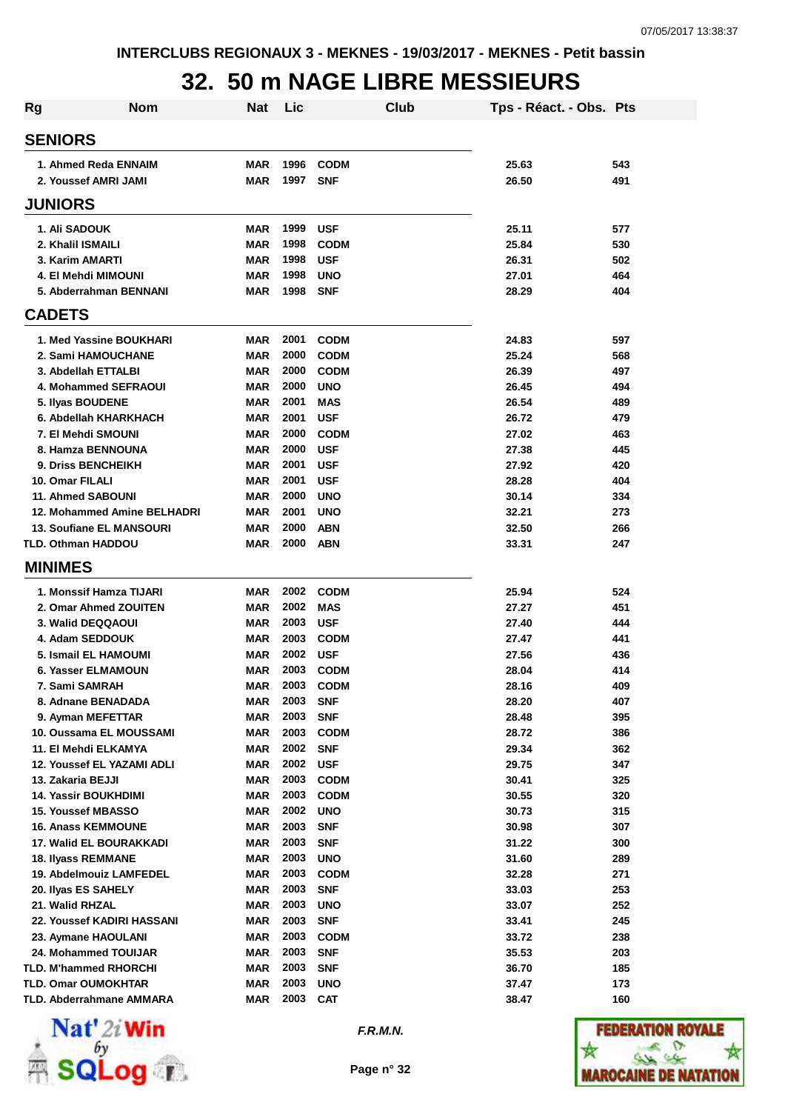## **32. 50 m NAGE LIBRE MESSIEURS**

| Rg | <b>Nom</b>                                   | Nat                      | Lic          |                           | Club | Tps - Réact. - Obs. Pts |            |
|----|----------------------------------------------|--------------------------|--------------|---------------------------|------|-------------------------|------------|
|    | <b>SENIORS</b>                               |                          |              |                           |      |                         |            |
|    | 1. Ahmed Reda ENNAIM                         | <b>MAR</b>               | 1996         | <b>CODM</b>               |      | 25.63                   | 543        |
|    | 2. Youssef AMRI JAMI                         | <b>MAR</b>               | 1997         | <b>SNF</b>                |      | 26.50                   | 491        |
|    | <b>JUNIORS</b>                               |                          |              |                           |      |                         |            |
|    | <b>1. Ali SADOUK</b>                         | <b>MAR</b>               | 1999         | <b>USF</b>                |      | 25.11                   | 577        |
|    | 2. Khalil ISMAILI                            | <b>MAR</b>               | 1998         | <b>CODM</b>               |      | 25.84                   | 530        |
|    | 3. Karim AMARTI                              | <b>MAR</b>               | 1998         | <b>USF</b>                |      | 26.31                   | 502        |
|    | 4. El Mehdi MIMOUNI                          | <b>MAR</b>               | 1998         | <b>UNO</b>                |      | 27.01                   | 464        |
|    | 5. Abderrahman BENNANI                       | <b>MAR</b>               | 1998         | <b>SNF</b>                |      | 28.29                   | 404        |
|    | <b>CADETS</b>                                |                          |              |                           |      |                         |            |
|    | 1. Med Yassine BOUKHARI                      | <b>MAR</b>               | 2001         | <b>CODM</b>               |      | 24.83                   | 597        |
|    | 2. Sami HAMOUCHANE                           | <b>MAR</b>               | 2000         | <b>CODM</b>               |      | 25.24                   | 568        |
|    | 3. Abdellah ETTALBI                          | <b>MAR</b>               | 2000         | <b>CODM</b>               |      | 26.39                   | 497        |
|    | 4. Mohammed SEFRAOUI                         | <b>MAR</b>               | 2000         | <b>UNO</b>                |      | 26.45                   | 494        |
|    | 5. Ilyas BOUDENE                             | <b>MAR</b>               | 2001         | <b>MAS</b>                |      | 26.54                   | 489        |
|    | 6. Abdellah KHARKHACH                        | <b>MAR</b>               | 2001         | <b>USF</b>                |      | 26.72                   | 479        |
|    | 7. El Mehdi SMOUNI                           | <b>MAR</b>               | 2000         | <b>CODM</b>               |      | 27.02                   | 463        |
|    | 8. Hamza BENNOUNA                            | <b>MAR</b>               | 2000         | <b>USF</b>                |      | 27.38                   | 445        |
|    | <b>9. Driss BENCHEIKH</b>                    | <b>MAR</b>               | 2001         | <b>USF</b>                |      | 27.92                   | 420        |
|    | 10. Omar FILALI                              | <b>MAR</b>               | 2001         | <b>USF</b>                |      | 28.28                   | 404        |
|    | 11. Ahmed SABOUNI                            | <b>MAR</b>               | 2000         | <b>UNO</b>                |      | 30.14                   | 334        |
|    | 12. Mohammed Amine BELHADRI                  | <b>MAR</b>               | 2001         | <b>UNO</b>                |      | 32.21                   | 273        |
|    | 13. Soufiane EL MANSOURI                     | <b>MAR</b>               | 2000         | <b>ABN</b>                |      | 32.50                   | 266        |
|    | <b>TLD. Othman HADDOU</b>                    | <b>MAR</b>               | 2000         | <b>ABN</b>                |      | 33.31                   | 247        |
|    | <b>MINIMES</b>                               |                          |              |                           |      |                         |            |
|    | 1. Monssif Hamza TIJARI                      | <b>MAR</b>               | 2002         | <b>CODM</b>               |      | 25.94                   | 524        |
|    | 2. Omar Ahmed ZOUITEN                        | <b>MAR</b>               | 2002         | <b>MAS</b>                |      | 27.27                   | 451        |
|    | 3. Walid DEQQAOUI                            | <b>MAR</b>               | 2003         | <b>USF</b>                |      | 27.40                   | 444        |
|    | 4. Adam SEDDOUK                              | <b>MAR</b>               | 2003         | <b>CODM</b>               |      | 27.47                   | 441        |
|    | 5. Ismail EL HAMOUMI                         | <b>MAR</b>               | 2002         | <b>USF</b>                |      | 27.56                   | 436        |
|    | 6. Yasser ELMAMOUN                           | <b>MAR</b>               | 2003         | <b>CODM</b>               |      | 28.04                   | 414        |
|    | 7. Sami SAMRAH                               | <b>MAR</b>               | 2003<br>2003 | <b>CODM</b>               |      | 28.16                   | 409        |
|    | 8. Adnane BENADADA                           | <b>MAR</b>               | 2003         | <b>SNF</b>                |      | 28.20                   | 407        |
|    | 9. Ayman MEFETTAR<br>10. Oussama EL MOUSSAMI | <b>MAR</b><br><b>MAR</b> | 2003         | <b>SNF</b><br><b>CODM</b> |      | 28.48<br>28.72          | 395<br>386 |
|    | 11. El Mehdi ELKAMYA                         | <b>MAR</b>               | 2002         | <b>SNF</b>                |      | 29.34                   | 362        |
|    | 12. Youssef EL YAZAMI ADLI                   | <b>MAR</b>               | 2002         | <b>USF</b>                |      | 29.75                   | 347        |
|    | 13. Zakaria BEJJI                            | <b>MAR</b>               | 2003         | <b>CODM</b>               |      | 30.41                   | 325        |
|    | 14. Yassir BOUKHDIMI                         | <b>MAR</b>               | 2003         | <b>CODM</b>               |      | 30.55                   | 320        |
|    | <b>15. Youssef MBASSO</b>                    | <b>MAR</b>               | 2002         | <b>UNO</b>                |      | 30.73                   | 315        |
|    | <b>16. Anass KEMMOUNE</b>                    | <b>MAR</b>               | 2003         | <b>SNF</b>                |      | 30.98                   | 307        |
|    | <b>17. Walid EL BOURAKKADI</b>               | <b>MAR</b>               | 2003         | <b>SNF</b>                |      | 31.22                   | 300        |
|    | 18. Ilyass REMMANE                           | <b>MAR</b>               | 2003         | <b>UNO</b>                |      | 31.60                   | 289        |
|    | 19. Abdelmouiz LAMFEDEL                      | <b>MAR</b>               | 2003         | <b>CODM</b>               |      | 32.28                   | 271        |
|    | 20. Ilyas ES SAHELY                          | <b>MAR</b>               | 2003         | <b>SNF</b>                |      | 33.03                   | 253        |
|    | 21. Walid RHZAL                              | MAR                      | 2003         | <b>UNO</b>                |      | 33.07                   | 252        |
|    | 22. Youssef KADIRI HASSANI                   | <b>MAR</b>               | 2003         | <b>SNF</b>                |      | 33.41                   | 245        |
|    | 23. Aymane HAOULANI                          | <b>MAR</b>               | 2003         | <b>CODM</b>               |      | 33.72                   | 238        |
|    | 24. Mohammed TOUIJAR                         | <b>MAR</b>               | 2003         | <b>SNF</b>                |      | 35.53                   | 203        |
|    | <b>TLD. M'hammed RHORCHI</b>                 | <b>MAR</b>               | 2003         | <b>SNF</b>                |      | 36.70                   | 185        |
|    | <b>TLD. Omar OUMOKHTAR</b>                   | <b>MAR</b>               | 2003         | <b>UNO</b>                |      | 37.47                   | 173        |
|    | <b>TLD. Abderrahmane AMMARA</b>              | <b>MAR</b>               | 2003         | <b>CAT</b>                |      | 38.47                   | 160        |